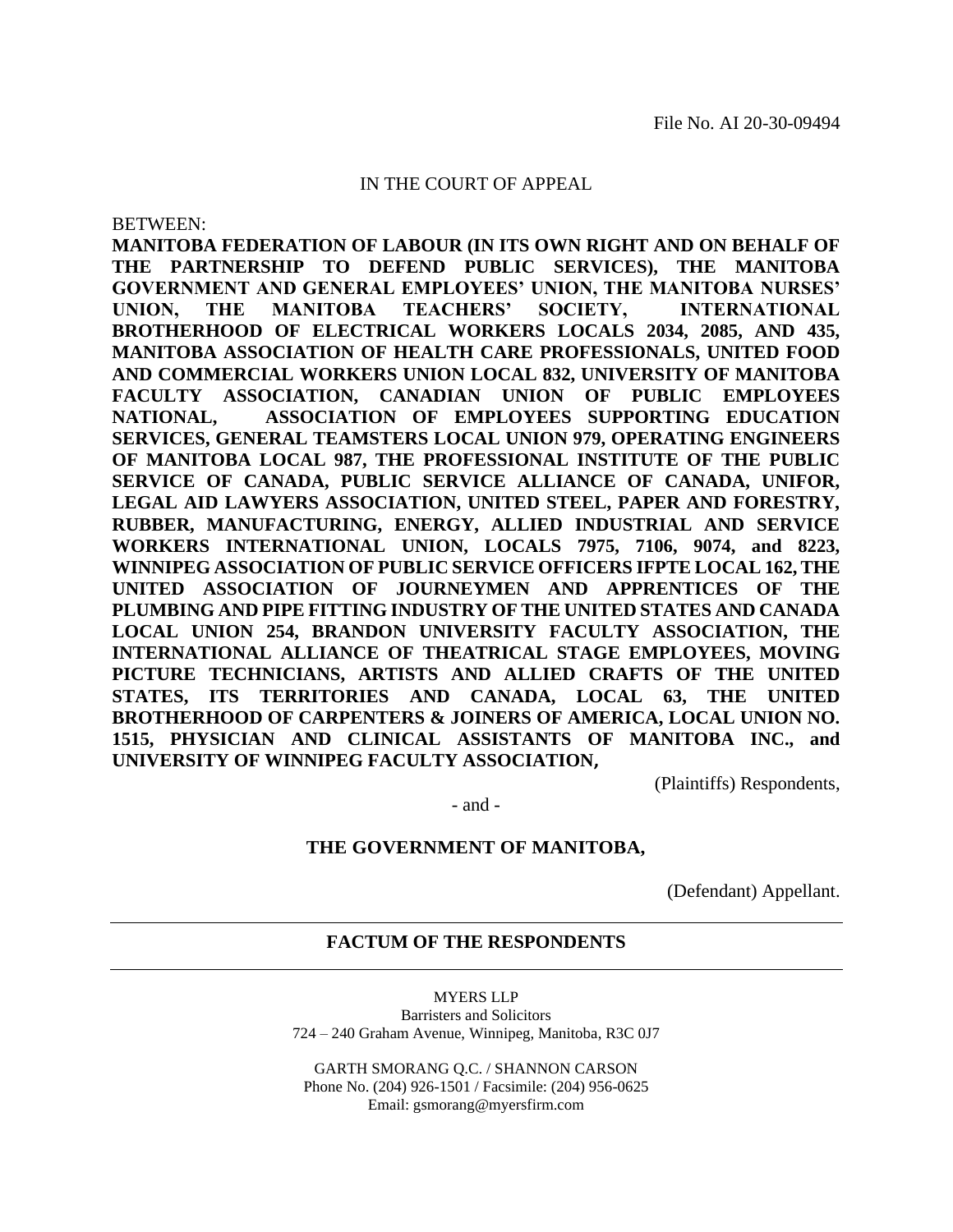#### IN THE COURT OF APPEAL

BETWEEN:

**MANITOBA FEDERATION OF LABOUR (IN ITS OWN RIGHT AND ON BEHALF OF THE PARTNERSHIP TO DEFEND PUBLIC SERVICES), THE MANITOBA GOVERNMENT AND GENERAL EMPLOYEES' UNION, THE MANITOBA NURSES' UNION, THE MANITOBA TEACHERS' SOCIETY, INTERNATIONAL BROTHERHOOD OF ELECTRICAL WORKERS LOCALS 2034, 2085, AND 435, MANITOBA ASSOCIATION OF HEALTH CARE PROFESSIONALS, UNITED FOOD AND COMMERCIAL WORKERS UNION LOCAL 832, UNIVERSITY OF MANITOBA FACULTY ASSOCIATION, CANADIAN UNION OF PUBLIC EMPLOYEES NATIONAL, ASSOCIATION OF EMPLOYEES SUPPORTING EDUCATION SERVICES, GENERAL TEAMSTERS LOCAL UNION 979, OPERATING ENGINEERS OF MANITOBA LOCAL 987, THE PROFESSIONAL INSTITUTE OF THE PUBLIC SERVICE OF CANADA, PUBLIC SERVICE ALLIANCE OF CANADA, UNIFOR, LEGAL AID LAWYERS ASSOCIATION, UNITED STEEL, PAPER AND FORESTRY, RUBBER, MANUFACTURING, ENERGY, ALLIED INDUSTRIAL AND SERVICE WORKERS INTERNATIONAL UNION, LOCALS 7975, 7106, 9074, and 8223, WINNIPEG ASSOCIATION OF PUBLIC SERVICE OFFICERS IFPTE LOCAL 162, THE UNITED ASSOCIATION OF JOURNEYMEN AND APPRENTICES OF THE PLUMBING AND PIPE FITTING INDUSTRY OF THE UNITED STATES AND CANADA LOCAL UNION 254, BRANDON UNIVERSITY FACULTY ASSOCIATION, THE INTERNATIONAL ALLIANCE OF THEATRICAL STAGE EMPLOYEES, MOVING PICTURE TECHNICIANS, ARTISTS AND ALLIED CRAFTS OF THE UNITED STATES, ITS TERRITORIES AND CANADA, LOCAL 63, THE UNITED BROTHERHOOD OF CARPENTERS & JOINERS OF AMERICA, LOCAL UNION NO. 1515, PHYSICIAN AND CLINICAL ASSISTANTS OF MANITOBA INC., and UNIVERSITY OF WINNIPEG FACULTY ASSOCIATION,**

(Plaintiffs) Respondents,

- and -

#### **THE GOVERNMENT OF MANITOBA,**

(Defendant) Appellant.

#### **FACTUM OF THE RESPONDENTS**

MYERS LLP Barristers and Solicitors 724 – 240 Graham Avenue, Winnipeg, Manitoba, R3C 0J7

GARTH SMORANG Q.C. / SHANNON CARSON Phone No. (204) 926-1501 / Facsimile: (204) 956-0625 Email: gsmorang@myersfirm.com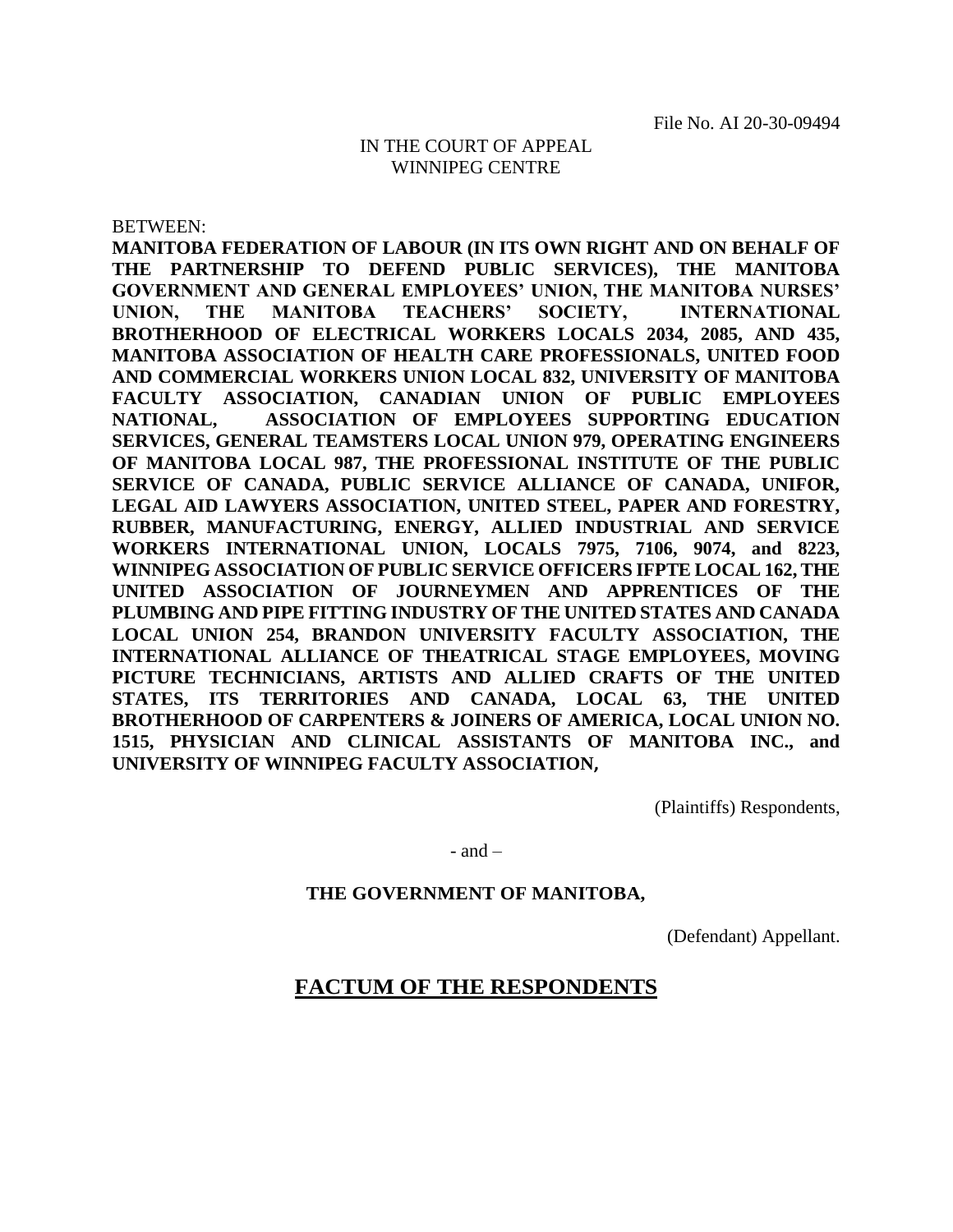#### IN THE COURT OF APPEAL WINNIPEG CENTRE

BETWEEN:

**MANITOBA FEDERATION OF LABOUR (IN ITS OWN RIGHT AND ON BEHALF OF THE PARTNERSHIP TO DEFEND PUBLIC SERVICES), THE MANITOBA GOVERNMENT AND GENERAL EMPLOYEES' UNION, THE MANITOBA NURSES' UNION, THE MANITOBA TEACHERS' SOCIETY, INTERNATIONAL BROTHERHOOD OF ELECTRICAL WORKERS LOCALS 2034, 2085, AND 435, MANITOBA ASSOCIATION OF HEALTH CARE PROFESSIONALS, UNITED FOOD AND COMMERCIAL WORKERS UNION LOCAL 832, UNIVERSITY OF MANITOBA FACULTY ASSOCIATION, CANADIAN UNION OF PUBLIC EMPLOYEES NATIONAL, ASSOCIATION OF EMPLOYEES SUPPORTING EDUCATION SERVICES, GENERAL TEAMSTERS LOCAL UNION 979, OPERATING ENGINEERS OF MANITOBA LOCAL 987, THE PROFESSIONAL INSTITUTE OF THE PUBLIC SERVICE OF CANADA, PUBLIC SERVICE ALLIANCE OF CANADA, UNIFOR, LEGAL AID LAWYERS ASSOCIATION, UNITED STEEL, PAPER AND FORESTRY, RUBBER, MANUFACTURING, ENERGY, ALLIED INDUSTRIAL AND SERVICE WORKERS INTERNATIONAL UNION, LOCALS 7975, 7106, 9074, and 8223, WINNIPEG ASSOCIATION OF PUBLIC SERVICE OFFICERS IFPTE LOCAL 162, THE UNITED ASSOCIATION OF JOURNEYMEN AND APPRENTICES OF THE PLUMBING AND PIPE FITTING INDUSTRY OF THE UNITED STATES AND CANADA LOCAL UNION 254, BRANDON UNIVERSITY FACULTY ASSOCIATION, THE INTERNATIONAL ALLIANCE OF THEATRICAL STAGE EMPLOYEES, MOVING PICTURE TECHNICIANS, ARTISTS AND ALLIED CRAFTS OF THE UNITED STATES, ITS TERRITORIES AND CANADA, LOCAL 63, THE UNITED BROTHERHOOD OF CARPENTERS & JOINERS OF AMERICA, LOCAL UNION NO. 1515, PHYSICIAN AND CLINICAL ASSISTANTS OF MANITOBA INC., and UNIVERSITY OF WINNIPEG FACULTY ASSOCIATION,**

(Plaintiffs) Respondents,

 $-$  and  $-$ 

#### **THE GOVERNMENT OF MANITOBA,**

(Defendant) Appellant.

### **FACTUM OF THE RESPONDENTS**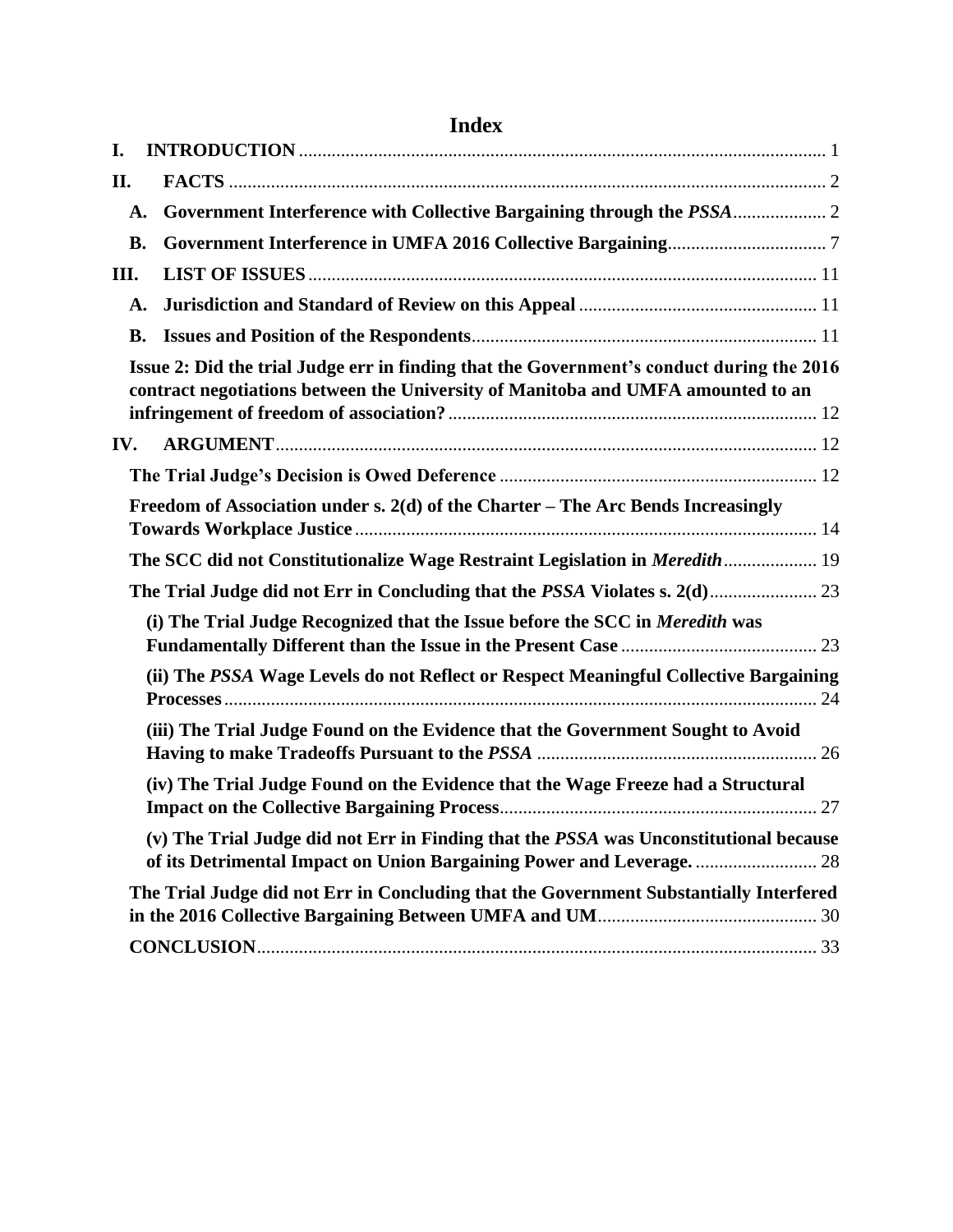| <b>Index</b> |                                                                                                                                                                               |  |
|--------------|-------------------------------------------------------------------------------------------------------------------------------------------------------------------------------|--|
| I.           |                                                                                                                                                                               |  |
| П.           |                                                                                                                                                                               |  |
| A.           |                                                                                                                                                                               |  |
| <b>B.</b>    |                                                                                                                                                                               |  |
| III.         |                                                                                                                                                                               |  |
| A.           |                                                                                                                                                                               |  |
| <b>B.</b>    |                                                                                                                                                                               |  |
|              | Issue 2: Did the trial Judge err in finding that the Government's conduct during the 2016<br>contract negotiations between the University of Manitoba and UMFA amounted to an |  |
| IV.          |                                                                                                                                                                               |  |
|              |                                                                                                                                                                               |  |
|              | Freedom of Association under s. 2(d) of the Charter – The Arc Bends Increasingly                                                                                              |  |
|              | The SCC did not Constitutionalize Wage Restraint Legislation in Meredith  19                                                                                                  |  |
|              | The Trial Judge did not Err in Concluding that the PSSA Violates s. 2(d) 23                                                                                                   |  |
|              | (i) The Trial Judge Recognized that the Issue before the SCC in Meredith was                                                                                                  |  |
|              | (ii) The PSSA Wage Levels do not Reflect or Respect Meaningful Collective Bargaining                                                                                          |  |
|              | (iii) The Trial Judge Found on the Evidence that the Government Sought to Avoid                                                                                               |  |
|              | (iv) The Trial Judge Found on the Evidence that the Wage Freeze had a Structural                                                                                              |  |
|              | (v) The Trial Judge did not Err in Finding that the PSSA was Unconstitutional because                                                                                         |  |
|              | The Trial Judge did not Err in Concluding that the Government Substantially Interfered                                                                                        |  |
|              |                                                                                                                                                                               |  |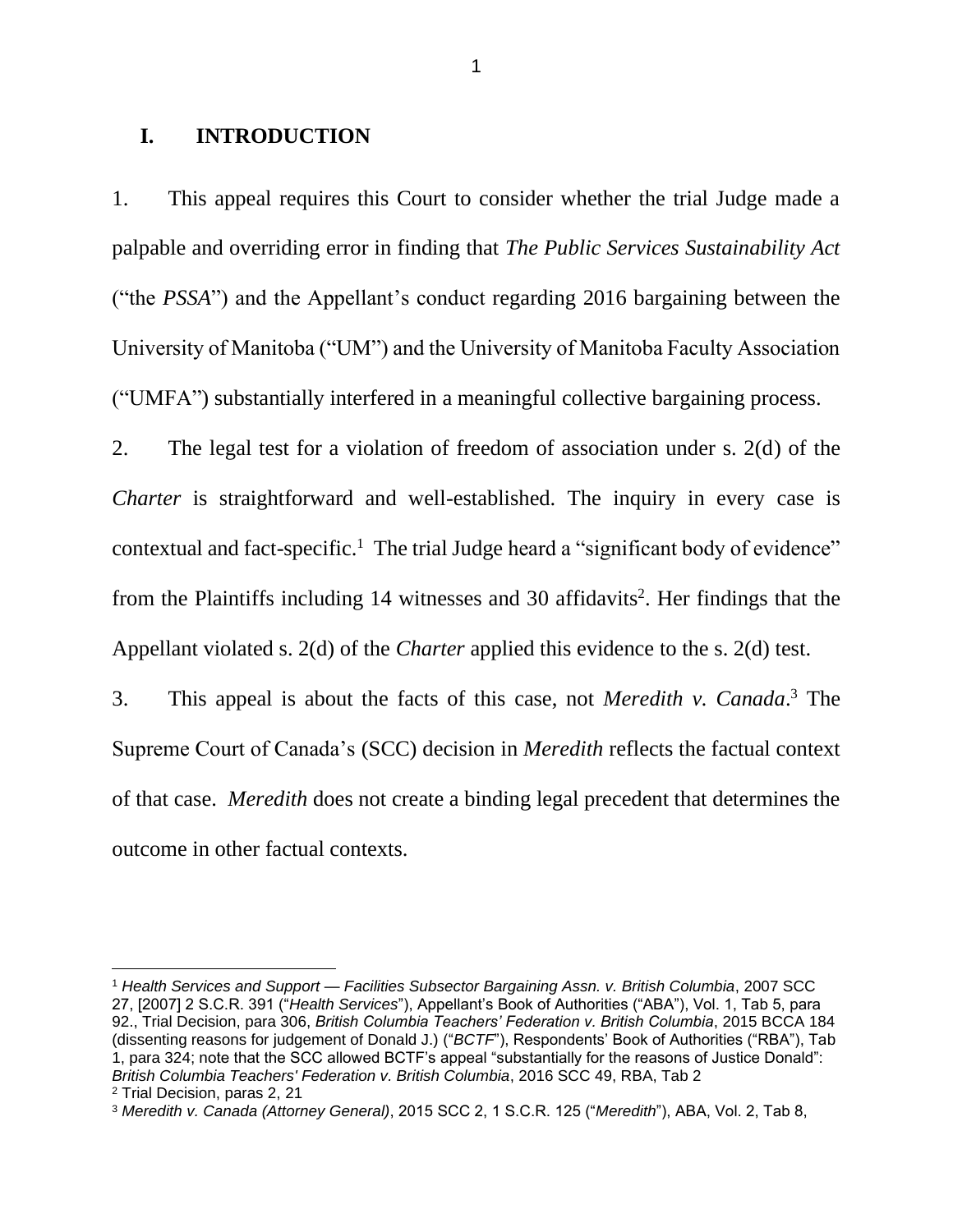## <span id="page-3-0"></span>**I. INTRODUCTION**

1. This appeal requires this Court to consider whether the trial Judge made a palpable and overriding error in finding that *The Public Services Sustainability Act* ("the *PSSA*") and the Appellant's conduct regarding 2016 bargaining between the University of Manitoba ("UM") and the University of Manitoba Faculty Association ("UMFA") substantially interfered in a meaningful collective bargaining process.

2. The legal test for a violation of freedom of association under s. 2(d) of the *Charter* is straightforward and well-established. The inquiry in every case is contextual and fact-specific.<sup>1</sup> The trial Judge heard a "significant body of evidence" from the Plaintiffs including 14 witnesses and 30 affidavits<sup>2</sup>. Her findings that the Appellant violated s. 2(d) of the *Charter* applied this evidence to the s. 2(d) test.

3. This appeal is about the facts of this case, not *Meredith v. Canada*. <sup>3</sup> The Supreme Court of Canada's (SCC) decision in *Meredith* reflects the factual context of that case. *Meredith* does not create a binding legal precedent that determines the outcome in other factual contexts.

<sup>1</sup> *Health Services and Support — Facilities Subsector Bargaining Assn. v. British Columbia*, 2007 SCC 27, [2007] 2 S.C.R. 391 ("*Health Services*"), Appellant's Book of Authorities ("ABA"), Vol. 1, Tab 5, para 92., Trial Decision, para 306, *British Columbia Teachers' Federation v. British Columbia*, 2015 BCCA 184 (dissenting reasons for judgement of Donald J.) ("*BCTF*"), Respondents' Book of Authorities ("RBA"), Tab 1, para 324; note that the SCC allowed BCTF's appeal "substantially for the reasons of Justice Donald": *British Columbia Teachers' Federation v. British Columbia*, 2016 SCC 49, RBA, Tab 2 <sup>2</sup> Trial Decision, paras 2, 21

<sup>3</sup> *Meredith v. Canada (Attorney General)*, 2015 SCC 2, 1 S.C.R. 125 ("*Meredith*"), ABA, Vol. 2, Tab 8,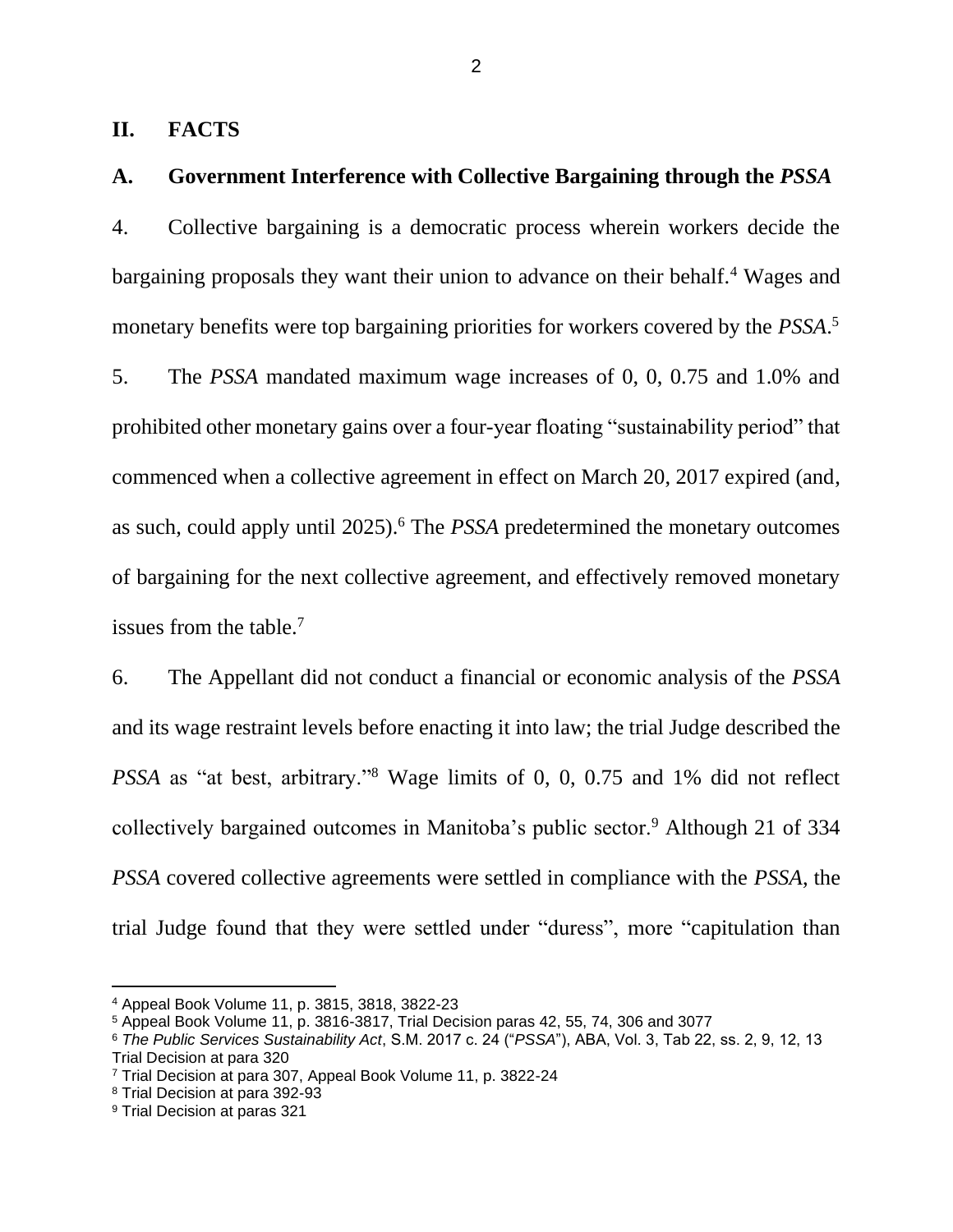### <span id="page-4-0"></span>**II. FACTS**

## <span id="page-4-1"></span>**A. Government Interference with Collective Bargaining through the** *PSSA*

4. Collective bargaining is a democratic process wherein workers decide the bargaining proposals they want their union to advance on their behalf.<sup>4</sup> Wages and monetary benefits were top bargaining priorities for workers covered by the *PSSA*. 5

5. The *PSSA* mandated maximum wage increases of 0, 0, 0.75 and 1.0% and prohibited other monetary gains over a four-year floating "sustainability period" that commenced when a collective agreement in effect on March 20, 2017 expired (and, as such, could apply until 2025).<sup>6</sup> The *PSSA* predetermined the monetary outcomes of bargaining for the next collective agreement, and effectively removed monetary issues from the table.<sup>7</sup>

6. The Appellant did not conduct a financial or economic analysis of the *PSSA*  and its wage restraint levels before enacting it into law; the trial Judge described the *PSSA* as "at best, arbitrary."<sup>8</sup> Wage limits of 0, 0, 0.75 and 1% did not reflect collectively bargained outcomes in Manitoba's public sector.<sup>9</sup> Although 21 of 334 *PSSA* covered collective agreements were settled in compliance with the *PSSA*, the trial Judge found that they were settled under "duress", more "capitulation than

<sup>4</sup> Appeal Book Volume 11, p. 3815, 3818, 3822-23

<sup>5</sup> Appeal Book Volume 11, p. 3816-3817, Trial Decision paras 42, 55, 74, 306 and 3077

<sup>6</sup> *The Public Services Sustainability Act*, S.M. 2017 c. 24 ("*PSSA*"), ABA, Vol. 3, Tab 22, ss. 2, 9, 12, 13 Trial Decision at para 320

<sup>7</sup> Trial Decision at para 307, Appeal Book Volume 11, p. 3822-24

<sup>8</sup> Trial Decision at para 392-93

<sup>9</sup> Trial Decision at paras 321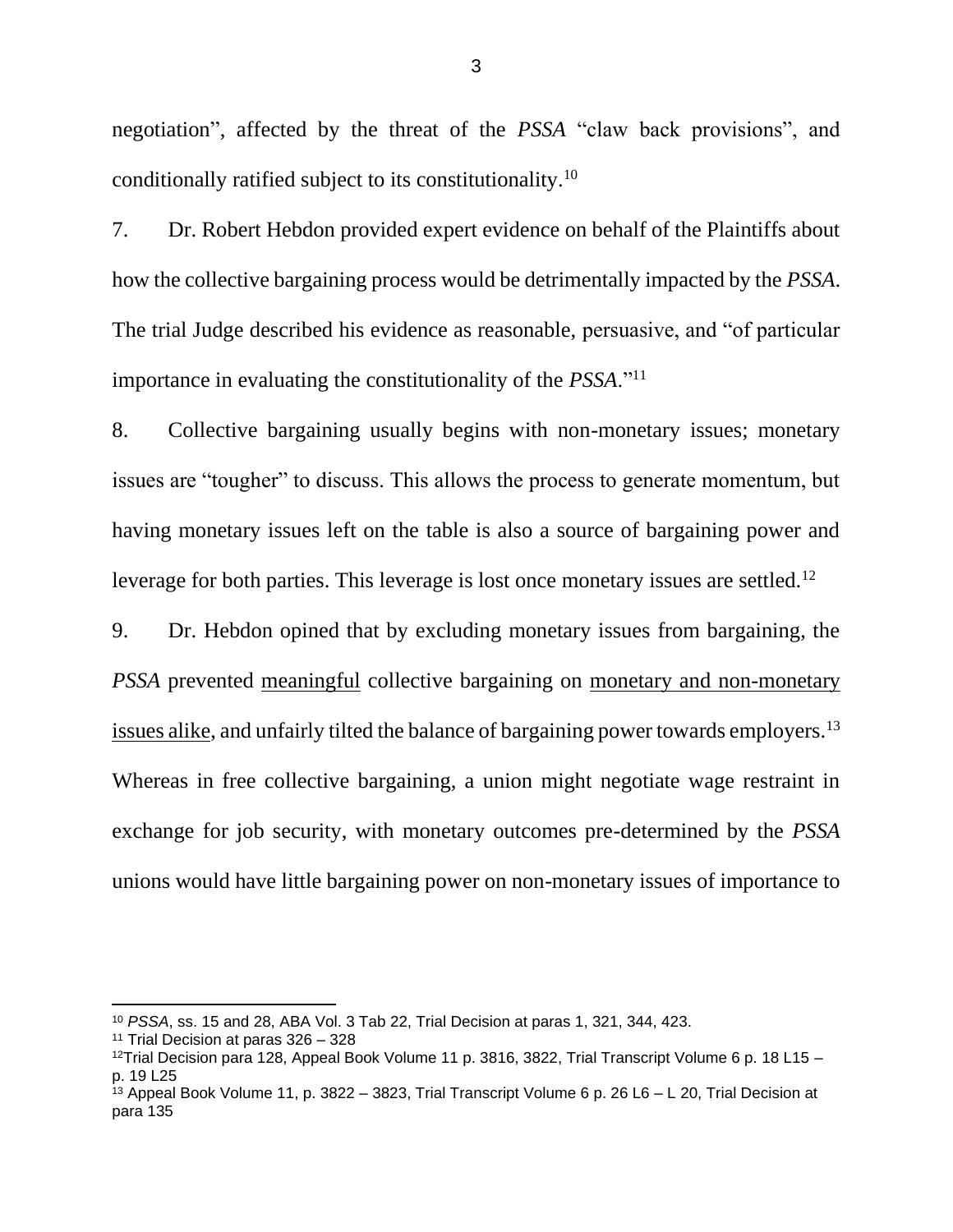negotiation", affected by the threat of the *PSSA* "claw back provisions", and conditionally ratified subject to its constitutionality.<sup>10</sup>

7. Dr. Robert Hebdon provided expert evidence on behalf of the Plaintiffs about how the collective bargaining process would be detrimentally impacted by the *PSSA*. The trial Judge described his evidence as reasonable, persuasive, and "of particular importance in evaluating the constitutionality of the *PSSA*."<sup>11</sup>

8. Collective bargaining usually begins with non-monetary issues; monetary issues are "tougher" to discuss. This allows the process to generate momentum, but having monetary issues left on the table is also a source of bargaining power and leverage for both parties. This leverage is lost once monetary issues are settled.<sup>12</sup>

9. Dr. Hebdon opined that by excluding monetary issues from bargaining, the *PSSA* prevented meaningful collective bargaining on monetary and non-monetary issues alike, and unfairly tilted the balance of bargaining power towards employers.<sup>13</sup> Whereas in free collective bargaining, a union might negotiate wage restraint in exchange for job security, with monetary outcomes pre-determined by the *PSSA*  unions would have little bargaining power on non-monetary issues of importance to

<sup>10</sup> *PSSA*, ss. 15 and 28, ABA Vol. 3 Tab 22, Trial Decision at paras 1, 321, 344, 423.

<sup>11</sup> Trial Decision at paras 326 – 328

<sup>&</sup>lt;sup>12</sup>Trial Decision para 128, Appeal Book Volume 11 p. 3816, 3822, Trial Transcript Volume 6 p. 18 L15 – p. 19 L25

 $^{13}$  Appeal Book Volume 11, p. 3822 – 3823, Trial Transcript Volume 6 p. 26 L6 – L 20, Trial Decision at para 135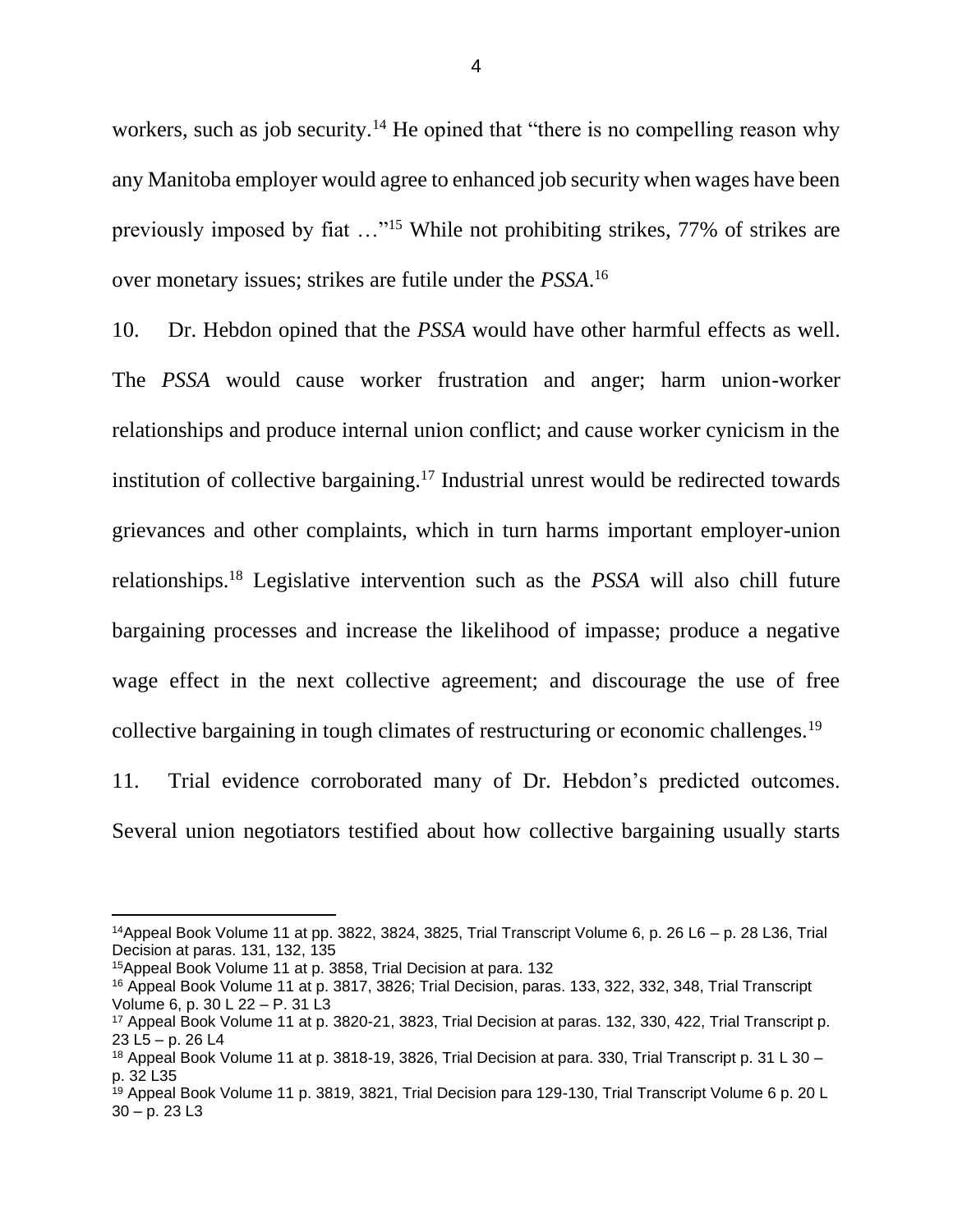workers, such as job security.<sup>14</sup> He opined that "there is no compelling reason why any Manitoba employer would agree to enhanced job security when wages have been previously imposed by fiat …"<sup>15</sup> While not prohibiting strikes, 77% of strikes are over monetary issues; strikes are futile under the *PSSA*. 16

10. Dr. Hebdon opined that the *PSSA* would have other harmful effects as well. The *PSSA* would cause worker frustration and anger; harm union-worker relationships and produce internal union conflict; and cause worker cynicism in the institution of collective bargaining.<sup>17</sup> Industrial unrest would be redirected towards grievances and other complaints, which in turn harms important employer-union relationships.<sup>18</sup> Legislative intervention such as the *PSSA* will also chill future bargaining processes and increase the likelihood of impasse; produce a negative wage effect in the next collective agreement; and discourage the use of free collective bargaining in tough climates of restructuring or economic challenges.<sup>19</sup>

11. Trial evidence corroborated many of Dr. Hebdon's predicted outcomes. Several union negotiators testified about how collective bargaining usually starts

 $14$ Appeal Book Volume 11 at pp. 3822, 3824, 3825, Trial Transcript Volume 6, p. 26 L6 – p. 28 L36, Trial Decision at paras. 131, 132, 135

<sup>15</sup>Appeal Book Volume 11 at p. 3858, Trial Decision at para. 132

<sup>16</sup> Appeal Book Volume 11 at p. 3817, 3826; Trial Decision, paras. 133, 322, 332, 348, Trial Transcript Volume 6, p. 30 L 22 – P. 31 L3

<sup>17</sup> Appeal Book Volume 11 at p. 3820-21, 3823, Trial Decision at paras. 132, 330, 422, Trial Transcript p. 23 L5 – p. 26 L4

<sup>18</sup> Appeal Book Volume 11 at p. 3818-19, 3826, Trial Decision at para. 330, Trial Transcript p. 31 L 30 – p. 32 L35

<sup>19</sup> Appeal Book Volume 11 p. 3819, 3821, Trial Decision para 129-130, Trial Transcript Volume 6 p. 20 L  $30 - p. 23 L3$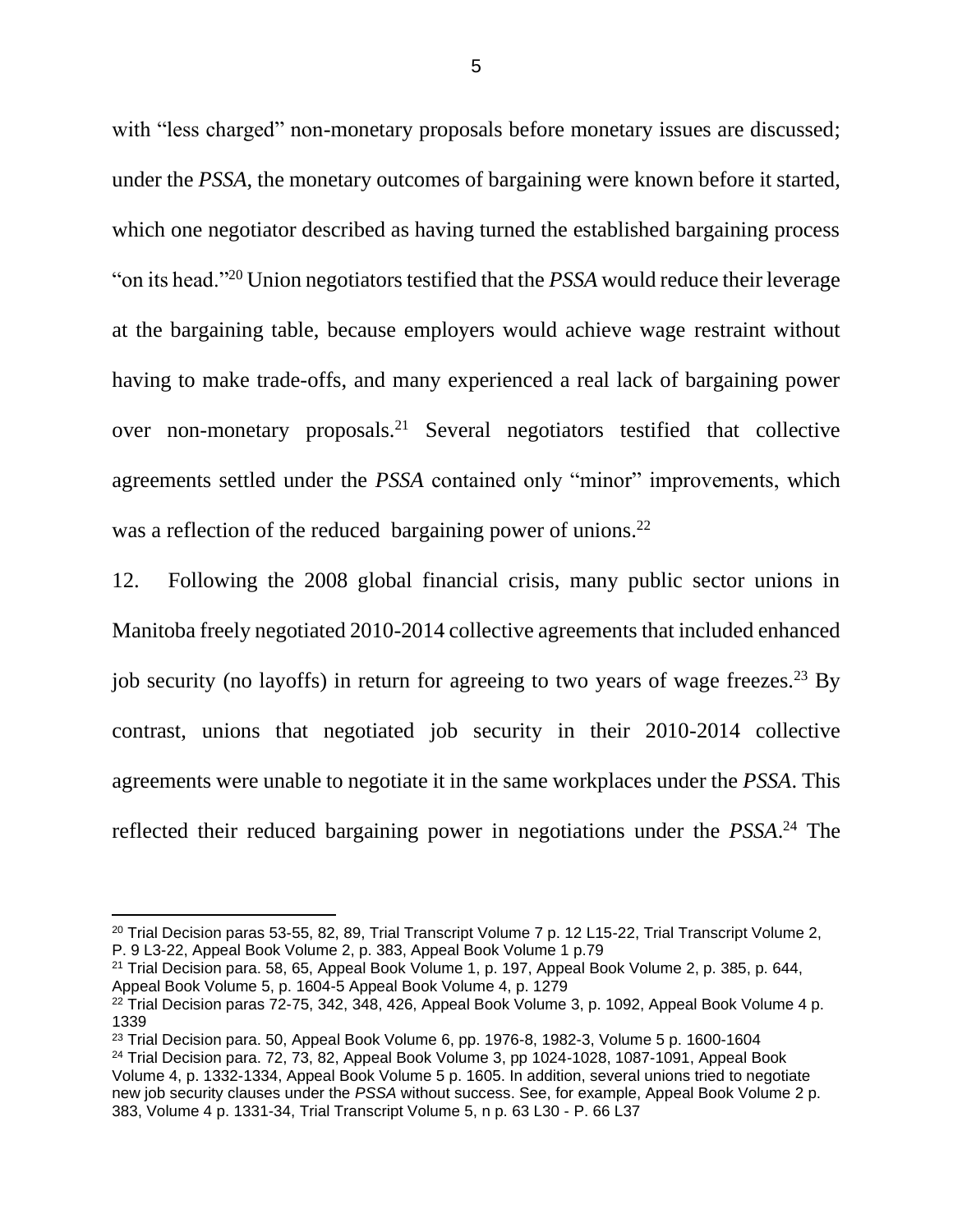with "less charged" non-monetary proposals before monetary issues are discussed; under the *PSSA*, the monetary outcomes of bargaining were known before it started, which one negotiator described as having turned the established bargaining process "on its head."<sup>20</sup> Union negotiators testified that the *PSSA* would reduce their leverage at the bargaining table, because employers would achieve wage restraint without having to make trade-offs, and many experienced a real lack of bargaining power over non-monetary proposals.<sup>21</sup> Several negotiators testified that collective agreements settled under the *PSSA* contained only "minor" improvements, which was a reflection of the reduced bargaining power of unions.<sup>22</sup>

12. Following the 2008 global financial crisis, many public sector unions in Manitoba freely negotiated 2010-2014 collective agreements that included enhanced job security (no layoffs) in return for agreeing to two years of wage freezes.<sup>23</sup> By contrast, unions that negotiated job security in their 2010-2014 collective agreements were unable to negotiate it in the same workplaces under the *PSSA*. This reflected their reduced bargaining power in negotiations under the *PSSA*. <sup>24</sup> The

<sup>&</sup>lt;sup>20</sup> Trial Decision paras 53-55, 82, 89, Trial Transcript Volume 7 p. 12 L15-22, Trial Transcript Volume 2, P. 9 L3-22, Appeal Book Volume 2, p. 383, Appeal Book Volume 1 p.79

<sup>21</sup> Trial Decision para. 58, 65, Appeal Book Volume 1, p. 197, Appeal Book Volume 2, p. 385, p. 644, Appeal Book Volume 5, p. 1604-5 Appeal Book Volume 4, p. 1279

 $22$  Trial Decision paras 72-75, 342, 348, 426, Appeal Book Volume 3, p. 1092, Appeal Book Volume 4 p. 1339

 $23$  Trial Decision para. 50, Appeal Book Volume 6, pp. 1976-8, 1982-3, Volume 5 p. 1600-1604 <sup>24</sup> Trial Decision para. 72, 73, 82, Appeal Book Volume 3, pp 1024-1028, 1087-1091, Appeal Book Volume 4, p. 1332-1334, Appeal Book Volume 5 p. 1605. In addition, several unions tried to negotiate new job security clauses under the *PSSA* without success. See, for example, Appeal Book Volume 2 p. 383, Volume 4 p. 1331-34, Trial Transcript Volume 5, n p. 63 L30 - P. 66 L37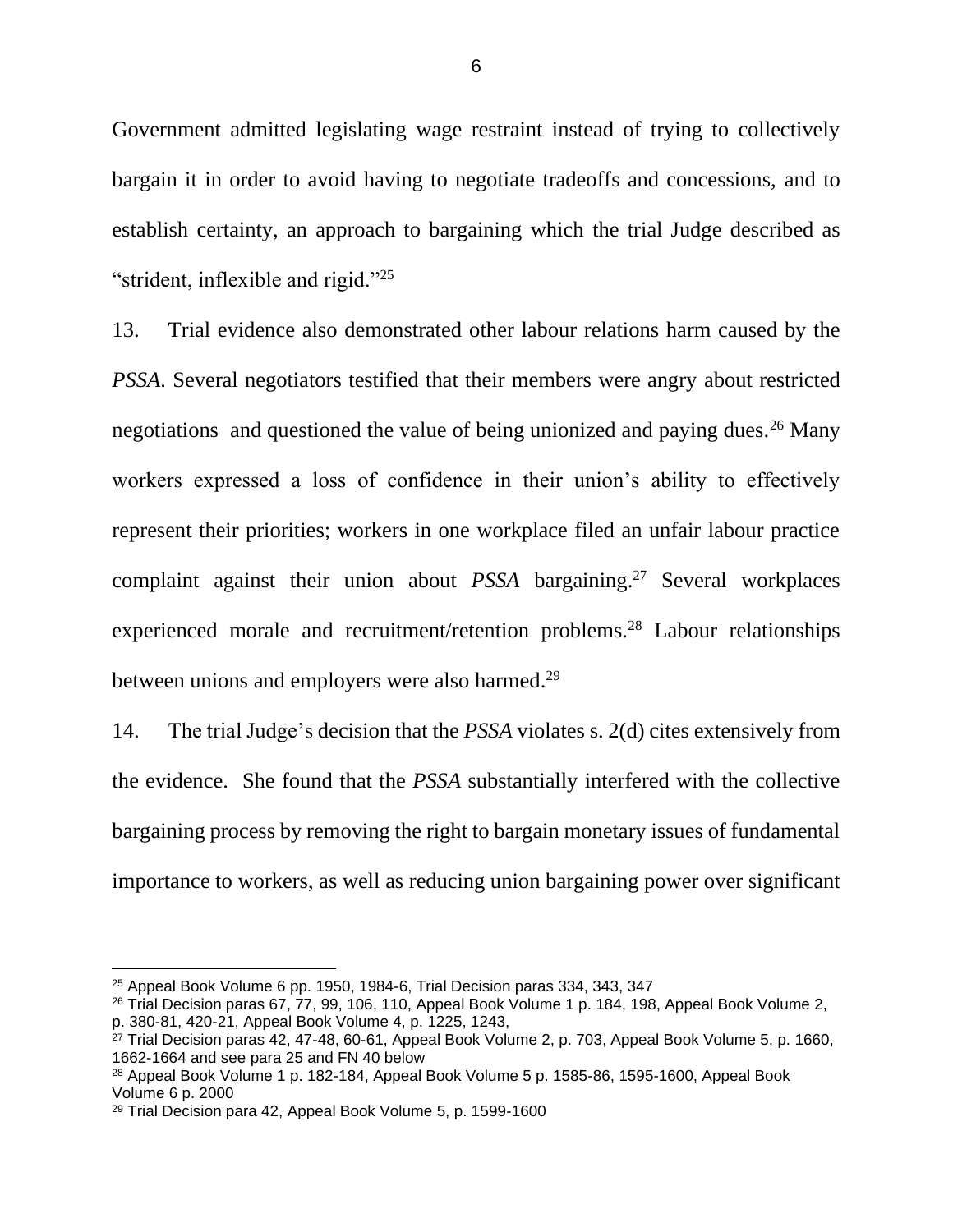Government admitted legislating wage restraint instead of trying to collectively bargain it in order to avoid having to negotiate tradeoffs and concessions, and to establish certainty, an approach to bargaining which the trial Judge described as "strident, inflexible and rigid."<sup>25</sup>

13. Trial evidence also demonstrated other labour relations harm caused by the *PSSA*. Several negotiators testified that their members were angry about restricted negotiations and questioned the value of being unionized and paying dues.<sup>26</sup> Many workers expressed a loss of confidence in their union's ability to effectively represent their priorities; workers in one workplace filed an unfair labour practice complaint against their union about *PSSA* bargaining.<sup>27</sup> Several workplaces experienced morale and recruitment/retention problems.<sup>28</sup> Labour relationships between unions and employers were also harmed.<sup>29</sup>

14. The trial Judge's decision that the *PSSA* violates s. 2(d) cites extensively from the evidence. She found that the *PSSA* substantially interfered with the collective bargaining process by removing the right to bargain monetary issues of fundamental importance to workers, as well as reducing union bargaining power over significant

 $25$  Appeal Book Volume 6 pp. 1950, 1984-6. Trial Decision paras 334, 343, 347

<sup>&</sup>lt;sup>26</sup> Trial Decision paras 67, 77, 99, 106, 110, Appeal Book Volume 1 p. 184, 198, Appeal Book Volume 2, p. 380-81, 420-21, Appeal Book Volume 4, p. 1225, 1243,

 $27$  Trial Decision paras 42, 47-48, 60-61, Appeal Book Volume 2, p. 703, Appeal Book Volume 5, p. 1660, 1662-1664 and see para 25 and FN 40 below

<sup>28</sup> Appeal Book Volume 1 p. 182-184, Appeal Book Volume 5 p. 1585-86, 1595-1600, Appeal Book Volume 6 p. 2000

<sup>29</sup> Trial Decision para 42, Appeal Book Volume 5, p. 1599-1600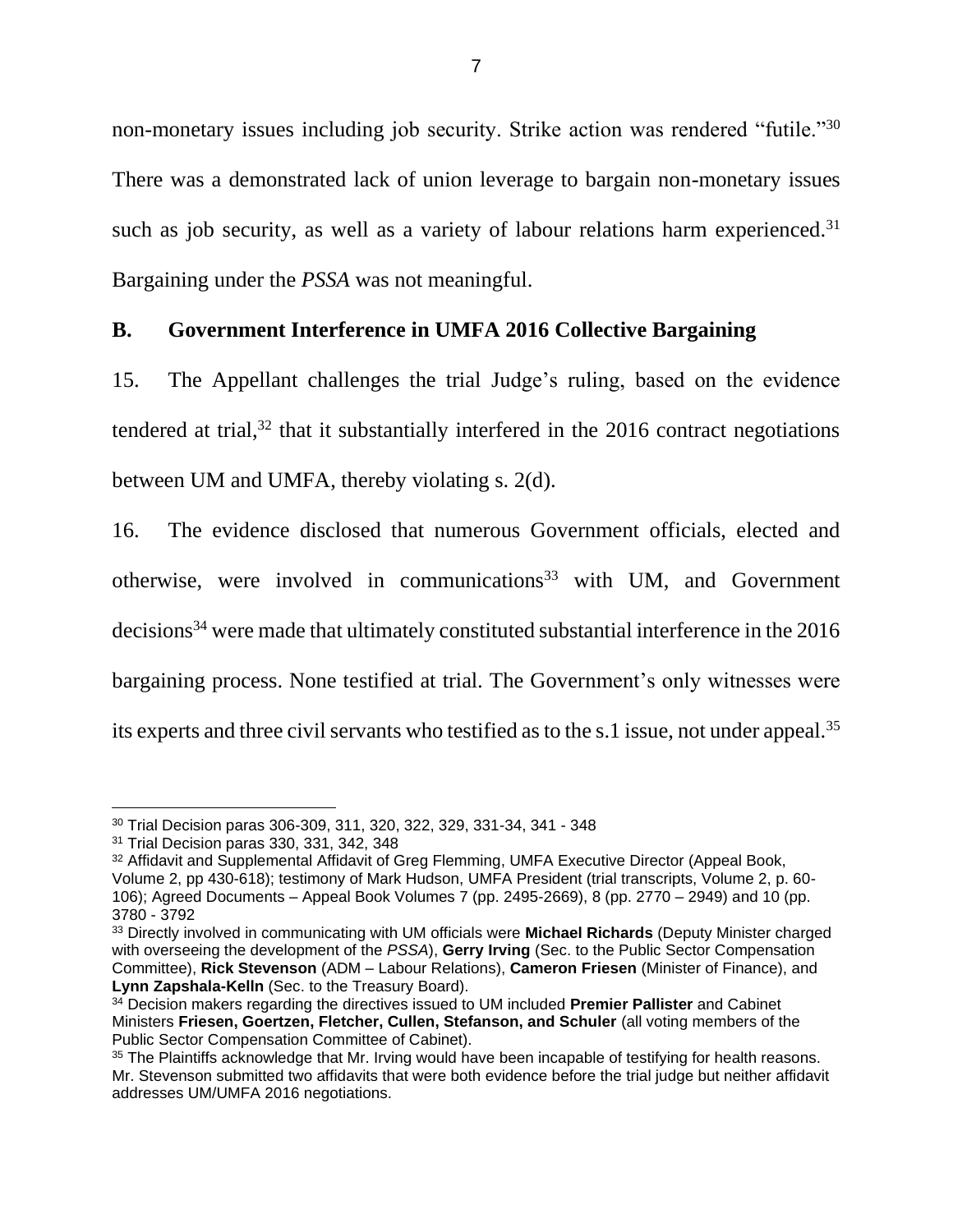non-monetary issues including job security. Strike action was rendered "futile."<sup>30</sup> There was a demonstrated lack of union leverage to bargain non-monetary issues such as job security, as well as a variety of labour relations harm experienced.<sup>31</sup> Bargaining under the *PSSA* was not meaningful.

## <span id="page-9-0"></span>**B. Government Interference in UMFA 2016 Collective Bargaining**

15. The Appellant challenges the trial Judge's ruling, based on the evidence tendered at trial, $32$  that it substantially interfered in the 2016 contract negotiations between UM and UMFA, thereby violating s. 2(d).

16. The evidence disclosed that numerous Government officials, elected and otherwise, were involved in communications<sup>33</sup> with UM, and Government decisions<sup>34</sup> were made that ultimately constituted substantial interference in the 2016 bargaining process. None testified at trial. The Government's only witnesses were its experts and three civil servants who testified as to the s.1 issue, not under appeal.<sup>35</sup>

<sup>30</sup> Trial Decision paras 306-309, 311, 320, 322, 329, 331-34, 341 - 348

<sup>31</sup> Trial Decision paras 330, 331, 342, 348

<sup>32</sup> Affidavit and Supplemental Affidavit of Greg Flemming, UMFA Executive Director (Appeal Book, Volume 2, pp 430-618); testimony of Mark Hudson, UMFA President (trial transcripts, Volume 2, p. 60- 106); Agreed Documents – Appeal Book Volumes 7 (pp. 2495-2669), 8 (pp. 2770 – 2949) and 10 (pp. 3780 - 3792

<sup>33</sup> Directly involved in communicating with UM officials were **Michael Richards** (Deputy Minister charged with overseeing the development of the *PSSA*), **Gerry Irving** (Sec. to the Public Sector Compensation Committee), **Rick Stevenson** (ADM – Labour Relations), **Cameron Friesen** (Minister of Finance), and **Lynn Zapshala-Kelln** (Sec. to the Treasury Board).

<sup>34</sup> Decision makers regarding the directives issued to UM included **Premier Pallister** and Cabinet Ministers **Friesen, Goertzen, Fletcher, Cullen, Stefanson, and Schuler** (all voting members of the Public Sector Compensation Committee of Cabinet).

<sup>&</sup>lt;sup>35</sup> The Plaintiffs acknowledge that Mr. Irving would have been incapable of testifying for health reasons. Mr. Stevenson submitted two affidavits that were both evidence before the trial judge but neither affidavit addresses UM/UMFA 2016 negotiations.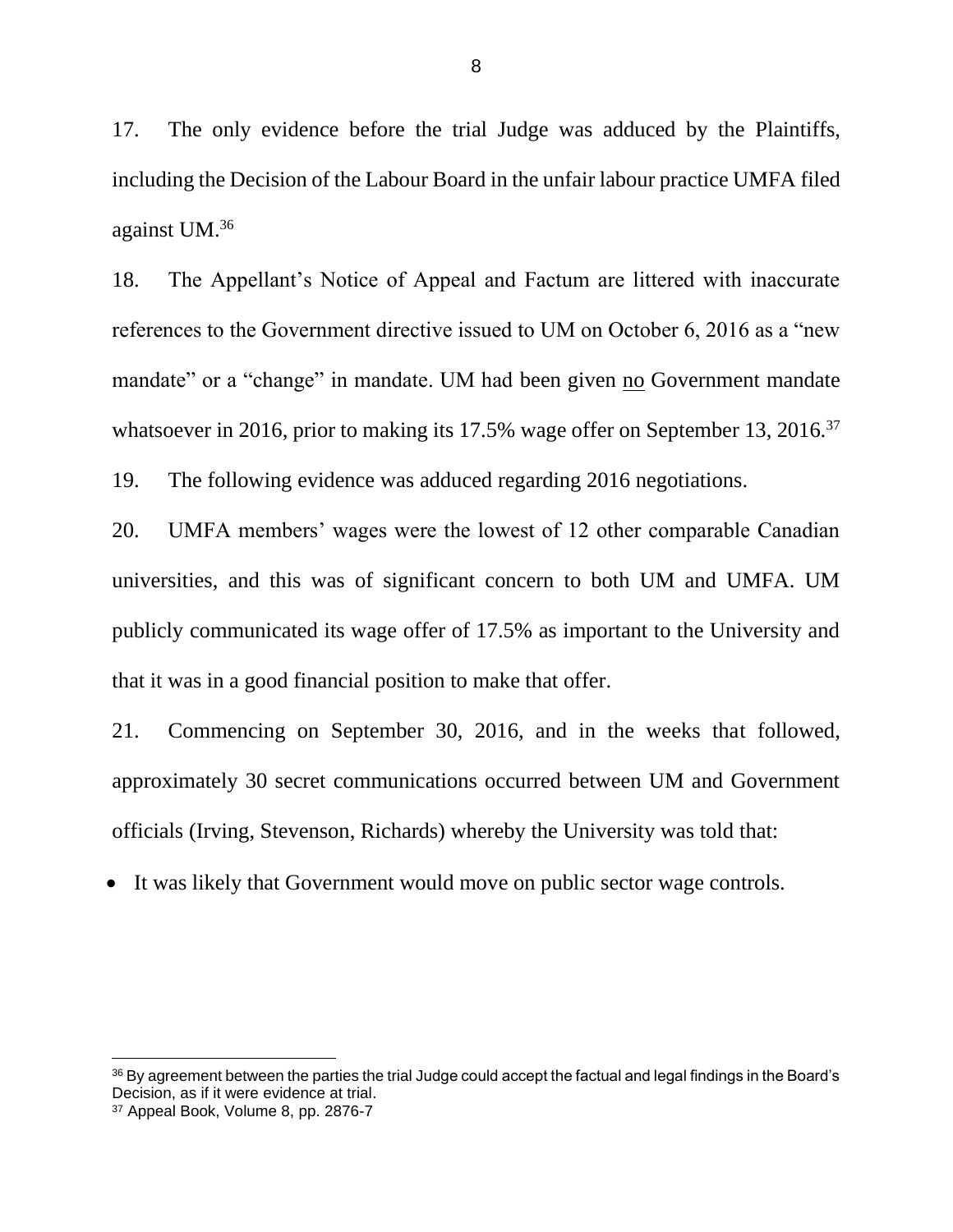17. The only evidence before the trial Judge was adduced by the Plaintiffs, including the Decision of the Labour Board in the unfair labour practice UMFA filed against UM.<sup>36</sup>

18. The Appellant's Notice of Appeal and Factum are littered with inaccurate references to the Government directive issued to UM on October 6, 2016 as a "new mandate" or a "change" in mandate. UM had been given no Government mandate whatsoever in 2016, prior to making its 17.5% wage offer on September 13, 2016.<sup>37</sup>

19. The following evidence was adduced regarding 2016 negotiations.

20. UMFA members' wages were the lowest of 12 other comparable Canadian universities, and this was of significant concern to both UM and UMFA. UM publicly communicated its wage offer of 17.5% as important to the University and that it was in a good financial position to make that offer.

21. Commencing on September 30, 2016, and in the weeks that followed, approximately 30 secret communications occurred between UM and Government officials (Irving, Stevenson, Richards) whereby the University was told that:

• It was likely that Government would move on public sector wage controls.

<sup>36</sup> By agreement between the parties the trial Judge could accept the factual and legal findings in the Board's Decision, as if it were evidence at trial.

<sup>37</sup> Appeal Book, Volume 8, pp. 2876-7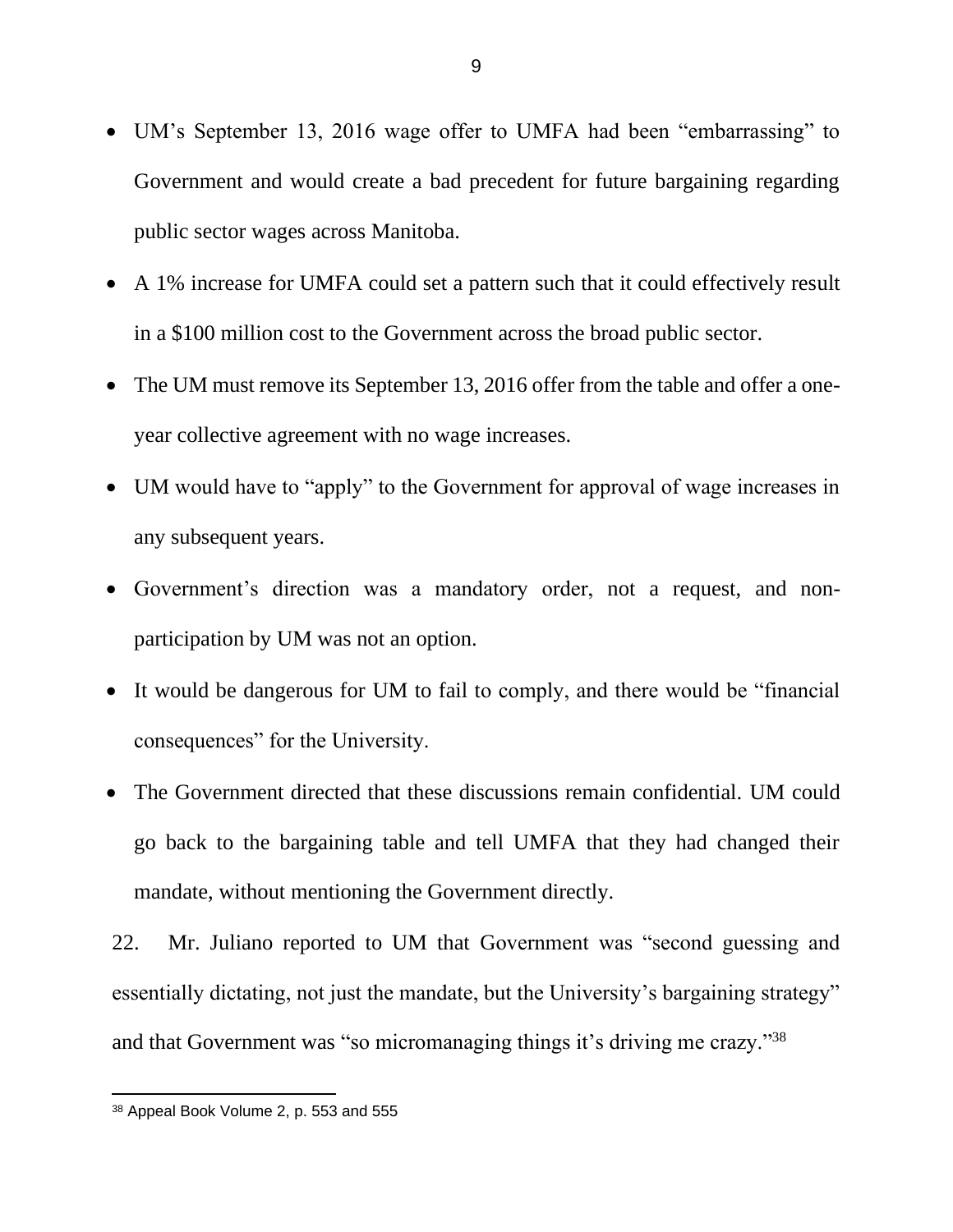- UM's September 13, 2016 wage offer to UMFA had been "embarrassing" to Government and would create a bad precedent for future bargaining regarding public sector wages across Manitoba.
- A 1% increase for UMFA could set a pattern such that it could effectively result in a \$100 million cost to the Government across the broad public sector.
- The UM must remove its September 13, 2016 offer from the table and offer a oneyear collective agreement with no wage increases.
- UM would have to "apply" to the Government for approval of wage increases in any subsequent years.
- Government's direction was a mandatory order, not a request, and nonparticipation by UM was not an option.
- It would be dangerous for UM to fail to comply, and there would be "financial consequences" for the University.
- The Government directed that these discussions remain confidential. UM could go back to the bargaining table and tell UMFA that they had changed their mandate, without mentioning the Government directly.

22. Mr. Juliano reported to UM that Government was "second guessing and essentially dictating, not just the mandate, but the University's bargaining strategy" and that Government was "so micromanaging things it's driving me crazy."<sup>38</sup>

<sup>38</sup> Appeal Book Volume 2, p. 553 and 555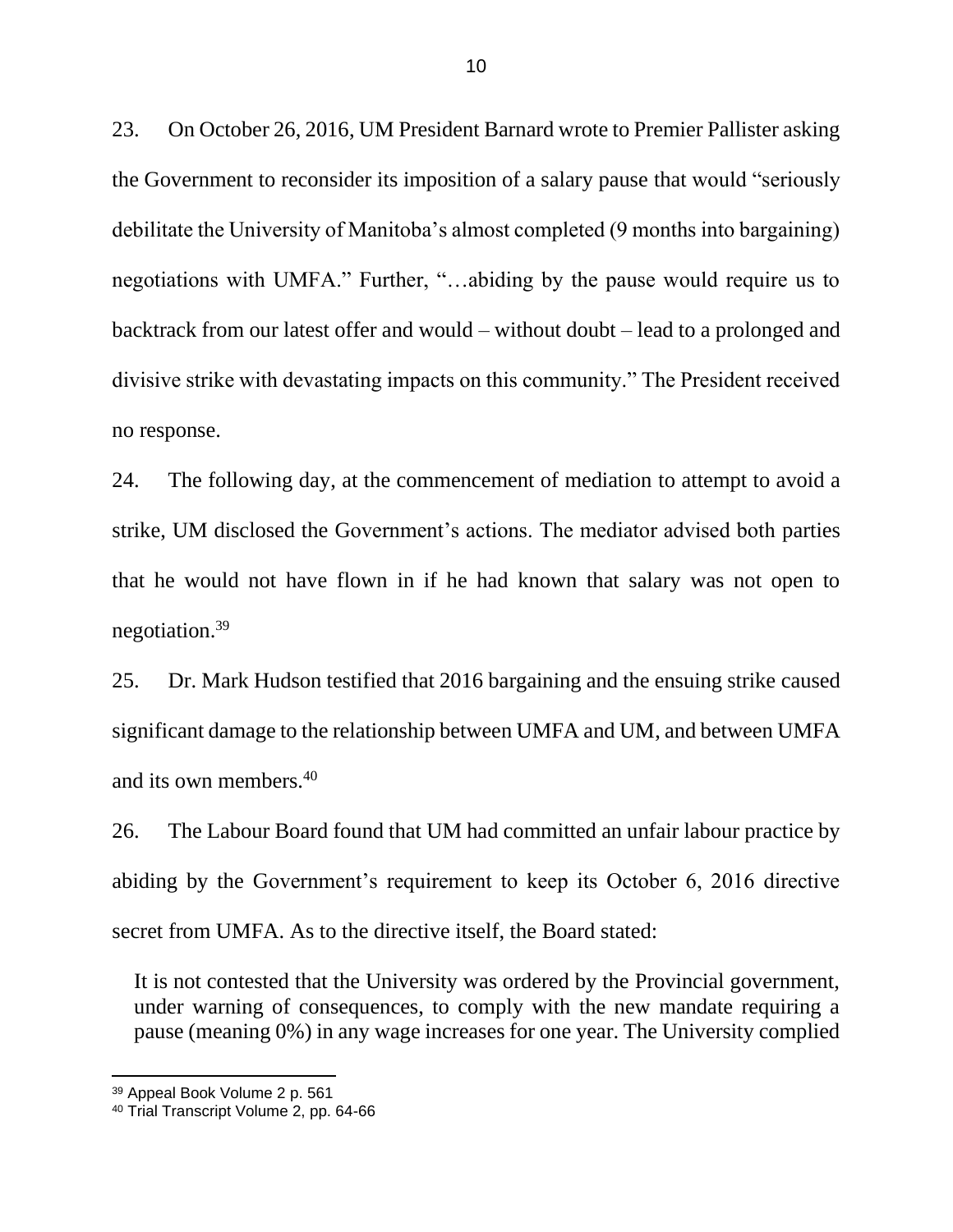23. On October 26, 2016, UM President Barnard wrote to Premier Pallister asking the Government to reconsider its imposition of a salary pause that would "seriously debilitate the University of Manitoba's almost completed (9 months into bargaining) negotiations with UMFA." Further, "…abiding by the pause would require us to backtrack from our latest offer and would – without doubt – lead to a prolonged and divisive strike with devastating impacts on this community." The President received no response.

24. The following day, at the commencement of mediation to attempt to avoid a strike, UM disclosed the Government's actions. The mediator advised both parties that he would not have flown in if he had known that salary was not open to negotiation.<sup>39</sup>

25. Dr. Mark Hudson testified that 2016 bargaining and the ensuing strike caused significant damage to the relationship between UMFA and UM, and between UMFA and its own members.<sup>40</sup>

26. The Labour Board found that UM had committed an unfair labour practice by abiding by the Government's requirement to keep its October 6, 2016 directive secret from UMFA. As to the directive itself, the Board stated:

It is not contested that the University was ordered by the Provincial government, under warning of consequences, to comply with the new mandate requiring a pause (meaning 0%) in any wage increases for one year. The University complied

<sup>39</sup> Appeal Book Volume 2 p. 561

<sup>40</sup> Trial Transcript Volume 2, pp. 64-66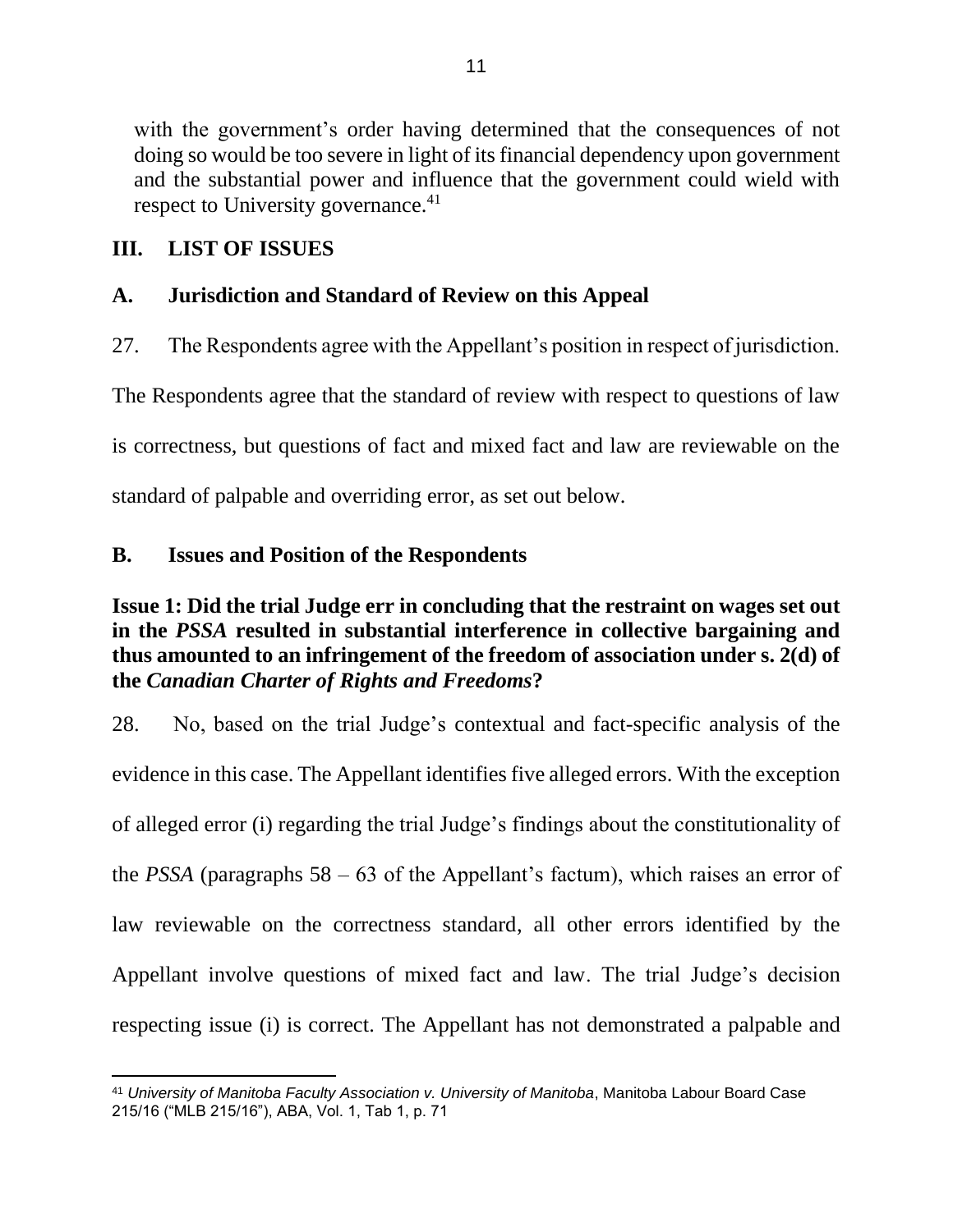with the government's order having determined that the consequences of not doing so would be too severe in light of its financial dependency upon government and the substantial power and influence that the government could wield with respect to University governance.<sup>41</sup>

# <span id="page-13-0"></span>**III. LIST OF ISSUES**

# <span id="page-13-1"></span>**A. Jurisdiction and Standard of Review on this Appeal**

27. The Respondents agree with the Appellant's position in respect of jurisdiction.

The Respondents agree that the standard of review with respect to questions of law

is correctness, but questions of fact and mixed fact and law are reviewable on the

standard of palpable and overriding error, as set out below.

## <span id="page-13-2"></span>**B. Issues and Position of the Respondents**

# **Issue 1: Did the trial Judge err in concluding that the restraint on wages set out in the** *PSSA* **resulted in substantial interference in collective bargaining and thus amounted to an infringement of the freedom of association under s. 2(d) of the** *Canadian Charter of Rights and Freedoms***?**

28. No, based on the trial Judge's contextual and fact-specific analysis of the evidence in this case. The Appellant identifies five alleged errors. With the exception of alleged error (i) regarding the trial Judge's findings about the constitutionality of the *PSSA* (paragraphs  $58 - 63$  of the Appellant's factum), which raises an error of law reviewable on the correctness standard, all other errors identified by the Appellant involve questions of mixed fact and law. The trial Judge's decision respecting issue (i) is correct. The Appellant has not demonstrated a palpable and

<sup>41</sup> *University of Manitoba Faculty Association v. University of Manitoba*, Manitoba Labour Board Case 215/16 ("MLB 215/16"), ABA, Vol. 1, Tab 1, p. 71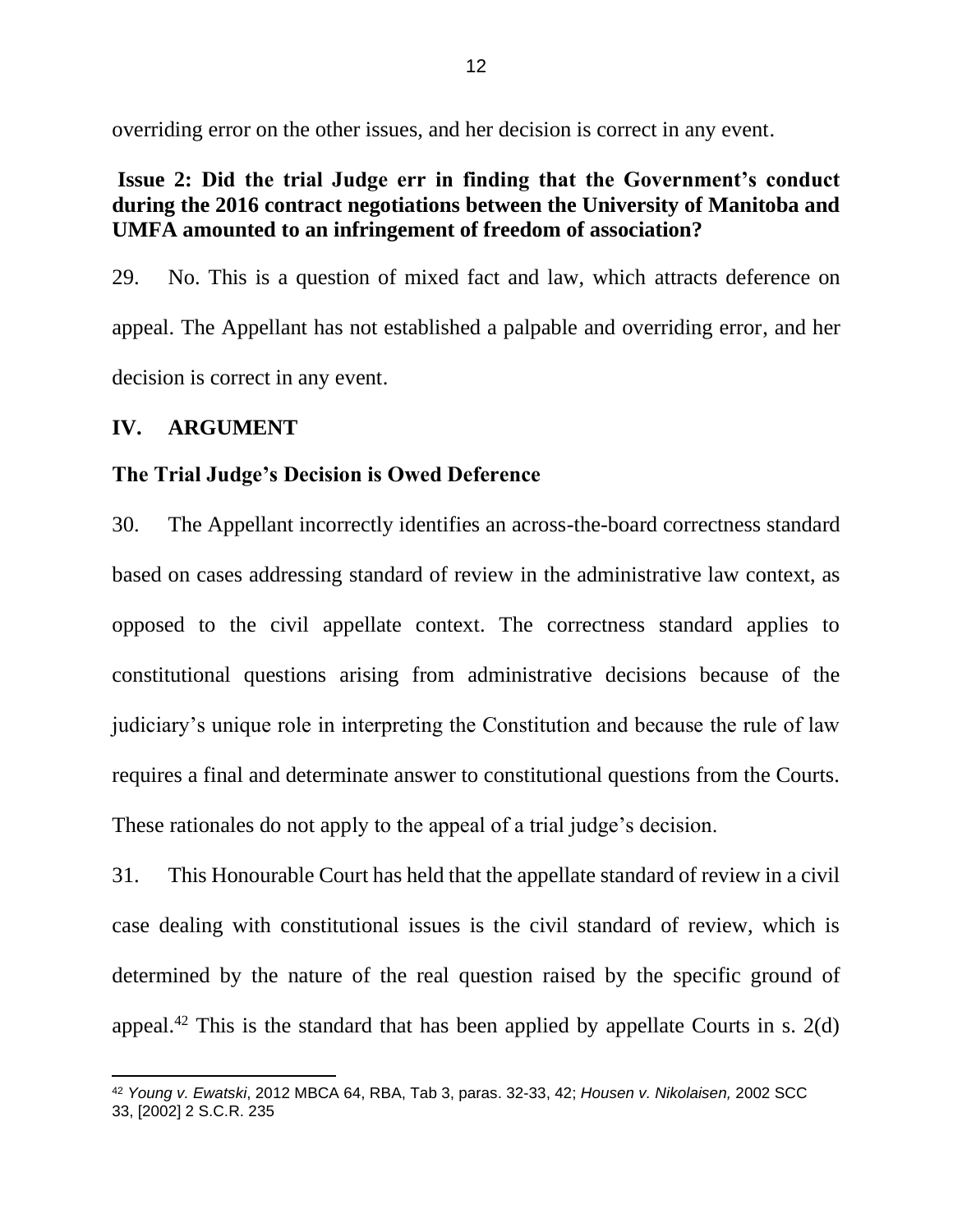overriding error on the other issues, and her decision is correct in any event.

# <span id="page-14-0"></span>**Issue 2: Did the trial Judge err in finding that the Government's conduct during the 2016 contract negotiations between the University of Manitoba and UMFA amounted to an infringement of freedom of association?**

29. No. This is a question of mixed fact and law, which attracts deference on appeal. The Appellant has not established a palpable and overriding error, and her decision is correct in any event.

## <span id="page-14-1"></span>**IV. ARGUMENT**

## <span id="page-14-2"></span>**The Trial Judge's Decision is Owed Deference**

30. The Appellant incorrectly identifies an across-the-board correctness standard based on cases addressing standard of review in the administrative law context, as opposed to the civil appellate context. The correctness standard applies to constitutional questions arising from administrative decisions because of the judiciary's unique role in interpreting the Constitution and because the rule of law requires a final and determinate answer to constitutional questions from the Courts. These rationales do not apply to the appeal of a trial judge's decision.

31. This Honourable Court has held that the appellate standard of review in a civil case dealing with constitutional issues is the civil standard of review, which is determined by the nature of the real question raised by the specific ground of appeal.<sup>42</sup> This is the standard that has been applied by appellate Courts in s. 2(d)

<sup>42</sup> *Young v. Ewatski*, 2012 MBCA 64, RBA, Tab 3, paras. 32-33, 42; *Housen v. Nikolaisen,* 2002 SCC 33, [2002] 2 S.C.R. 235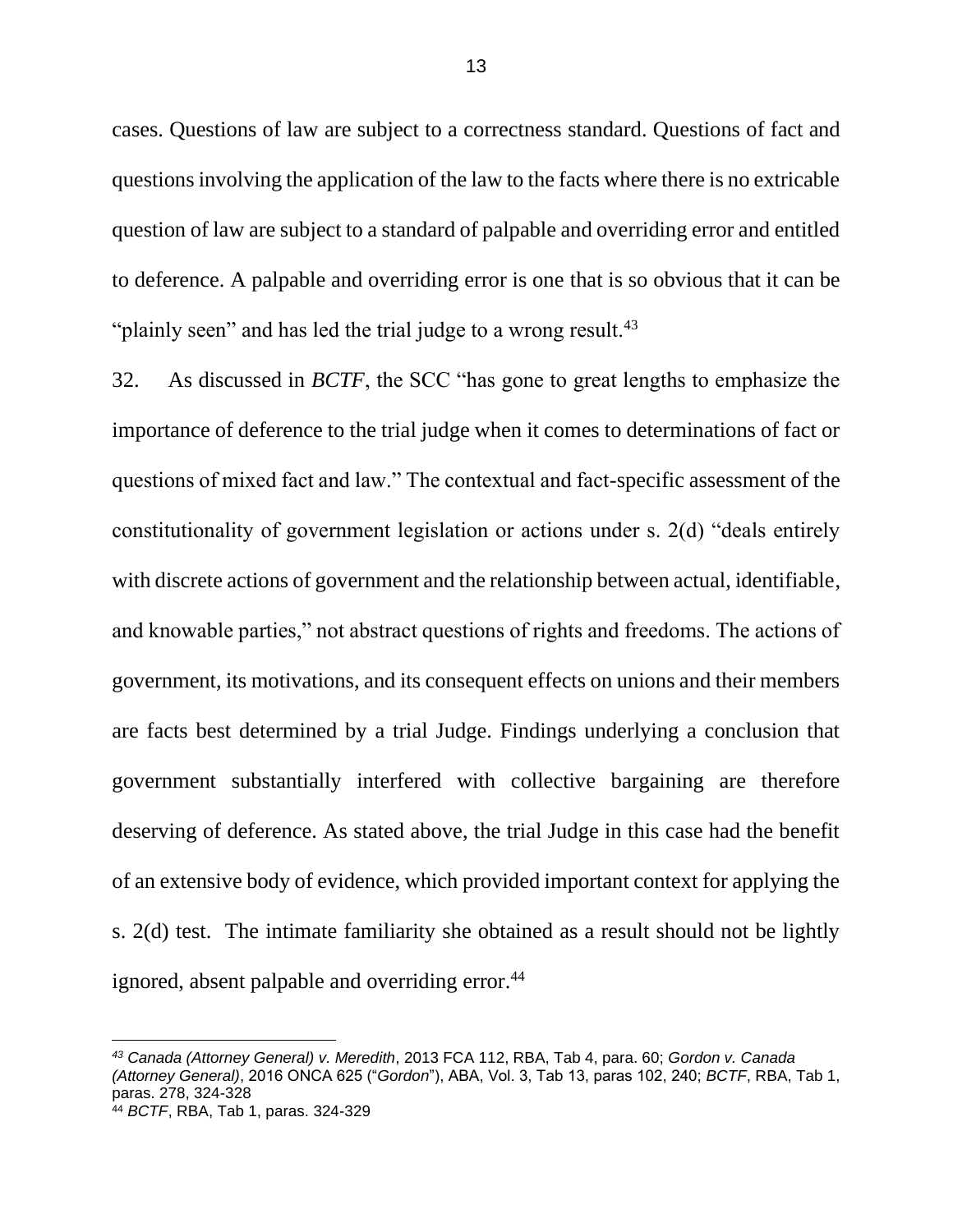cases. Questions of law are subject to a correctness standard. Questions of fact and questions involving the application of the law to the facts where there is no extricable question of law are subject to a standard of palpable and overriding error and entitled to deference. A palpable and overriding error is one that is so obvious that it can be "plainly seen" and has led the trial judge to a wrong result.<sup>43</sup>

32. As discussed in *BCTF*, the SCC "has gone to great lengths to emphasize the importance of deference to the trial judge when it comes to determinations of fact or questions of mixed fact and law." The contextual and fact-specific assessment of the constitutionality of government legislation or actions under s. 2(d) "deals entirely with discrete actions of government and the relationship between actual, identifiable, and knowable parties," not abstract questions of rights and freedoms. The actions of government, its motivations, and its consequent effects on unions and their members are facts best determined by a trial Judge. Findings underlying a conclusion that government substantially interfered with collective bargaining are therefore deserving of deference. As stated above, the trial Judge in this case had the benefit of an extensive body of evidence, which provided important context for applying the s. 2(d) test. The intimate familiarity she obtained as a result should not be lightly ignored, absent palpable and overriding error. $44$ 

*<sup>43</sup> Canada (Attorney General) v. Meredith*, 2013 FCA 112, RBA, Tab 4, para. 60; *Gordon v. Canada (Attorney General)*, 2016 ONCA 625 ("*Gordon*"), ABA, Vol. 3, Tab 13, paras 102, 240; *BCTF*, RBA, Tab 1, paras. 278, 324-328

<sup>44</sup> *BCTF*, RBA, Tab 1, paras. 324-329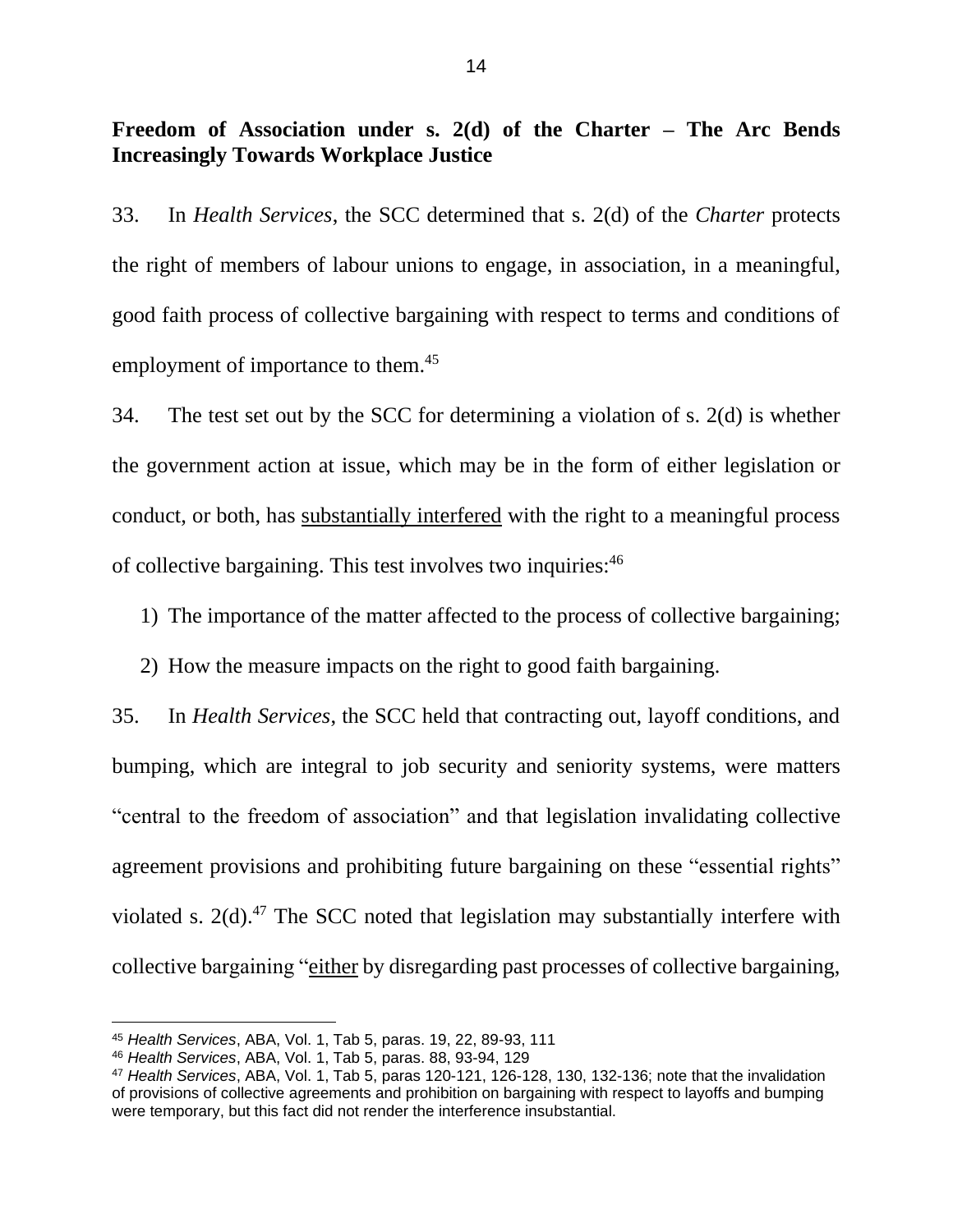# <span id="page-16-0"></span>**Freedom of Association under s. 2(d) of the Charter – The Arc Bends Increasingly Towards Workplace Justice**

33. In *Health Services*, the SCC determined that s. 2(d) of the *Charter* protects the right of members of labour unions to engage, in association, in a meaningful, good faith process of collective bargaining with respect to terms and conditions of employment of importance to them.<sup>45</sup>

34. The test set out by the SCC for determining a violation of s. 2(d) is whether the government action at issue, which may be in the form of either legislation or conduct, or both, has substantially interfered with the right to a meaningful process of collective bargaining. This test involves two inquiries:<sup>46</sup>

1) The importance of the matter affected to the process of collective bargaining;

2) How the measure impacts on the right to good faith bargaining.

35. In *Health Services*, the SCC held that contracting out, layoff conditions, and bumping, which are integral to job security and seniority systems, were matters "central to the freedom of association" and that legislation invalidating collective agreement provisions and prohibiting future bargaining on these "essential rights" violated s. 2(d). <sup>47</sup> The SCC noted that legislation may substantially interfere with collective bargaining "either by disregarding past processes of collective bargaining,

<sup>45</sup> *Health Services*, ABA, Vol. 1, Tab 5, paras. 19, 22, 89-93, 111

<sup>46</sup> *Health Services*, ABA, Vol. 1, Tab 5, paras. 88, 93-94, 129

<sup>47</sup> *Health Services*, ABA, Vol. 1, Tab 5, paras 120-121, 126-128, 130, 132-136; note that the invalidation of provisions of collective agreements and prohibition on bargaining with respect to layoffs and bumping were temporary, but this fact did not render the interference insubstantial.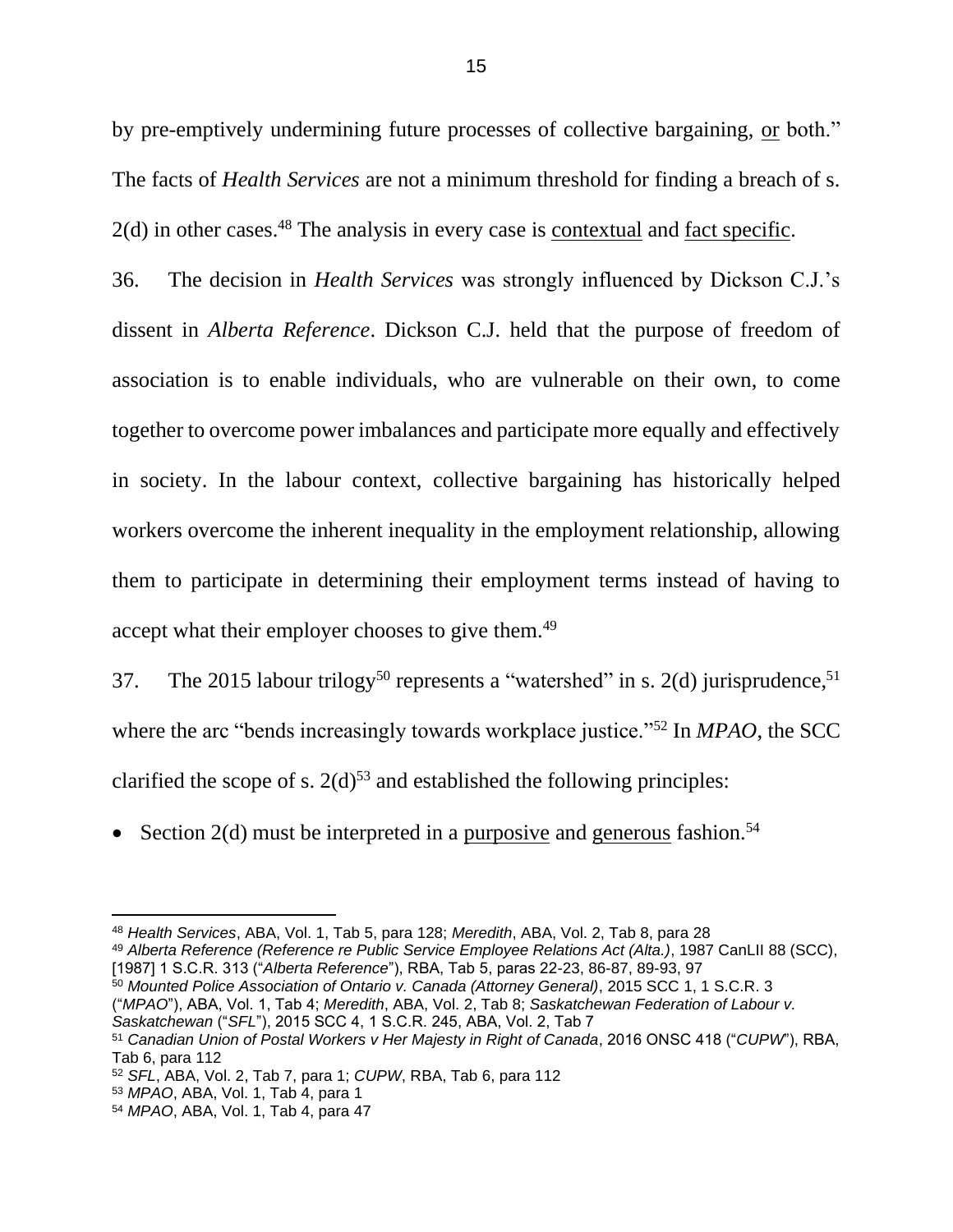by pre-emptively undermining future processes of collective bargaining, or both." The facts of *Health Services* are not a minimum threshold for finding a breach of s. 2(d) in other cases.<sup>48</sup> The analysis in every case is <u>contextual</u> and <u>fact specific</u>.

36. The decision in *Health Services* was strongly influenced by Dickson C.J.'s dissent in *Alberta Reference*. Dickson C.J. held that the purpose of freedom of association is to enable individuals, who are vulnerable on their own, to come together to overcome power imbalances and participate more equally and effectively in society. In the labour context, collective bargaining has historically helped workers overcome the inherent inequality in the employment relationship, allowing them to participate in determining their employment terms instead of having to accept what their employer chooses to give them.<sup>49</sup>

37. The 2015 labour trilogy<sup>50</sup> represents a "watershed" in s. 2(d) jurisprudence,<sup>51</sup> where the arc "bends increasingly towards workplace justice."<sup>52</sup> In *MPAO*, the SCC clarified the scope of s.  $2(d)^{53}$  and established the following principles:

• Section 2(d) must be interpreted in a purposive and generous fashion.<sup>54</sup>

[1987] 1 S.C.R. 313 ("*Alberta Reference*"), RBA, Tab 5, paras 22-23, 86-87, 89-93, 97

<sup>50</sup> *Mounted Police Association of Ontario v. Canada (Attorney General)*, 2015 SCC 1, 1 S.C.R. 3 ("*MPAO*"), ABA, Vol. 1, Tab 4; *Meredith*, ABA, Vol. 2, Tab 8; *Saskatchewan Federation of Labour v.* 

<sup>48</sup> *Health Services*, ABA, Vol. 1, Tab 5, para 128; *Meredith*, ABA, Vol. 2, Tab 8, para 28 <sup>49</sup> *Alberta Reference (Reference re Public Service Employee Relations Act (Alta.)*, 1987 CanLII 88 (SCC),

*Saskatchewan* ("*SFL*"), 2015 SCC 4, 1 S.C.R. 245, ABA, Vol. 2, Tab 7

<sup>51</sup> *Canadian Union of Postal Workers v Her Majesty in Right of Canada*, 2016 ONSC 418 ("*CUPW*"), RBA, Tab 6, para 112

<sup>52</sup> *SFL*, ABA, Vol. 2, Tab 7, para 1; *CUPW*, RBA, Tab 6, para 112

<sup>53</sup> *MPAO*, ABA, Vol. 1, Tab 4, para 1

<sup>54</sup> *MPAO*, ABA, Vol. 1, Tab 4, para 47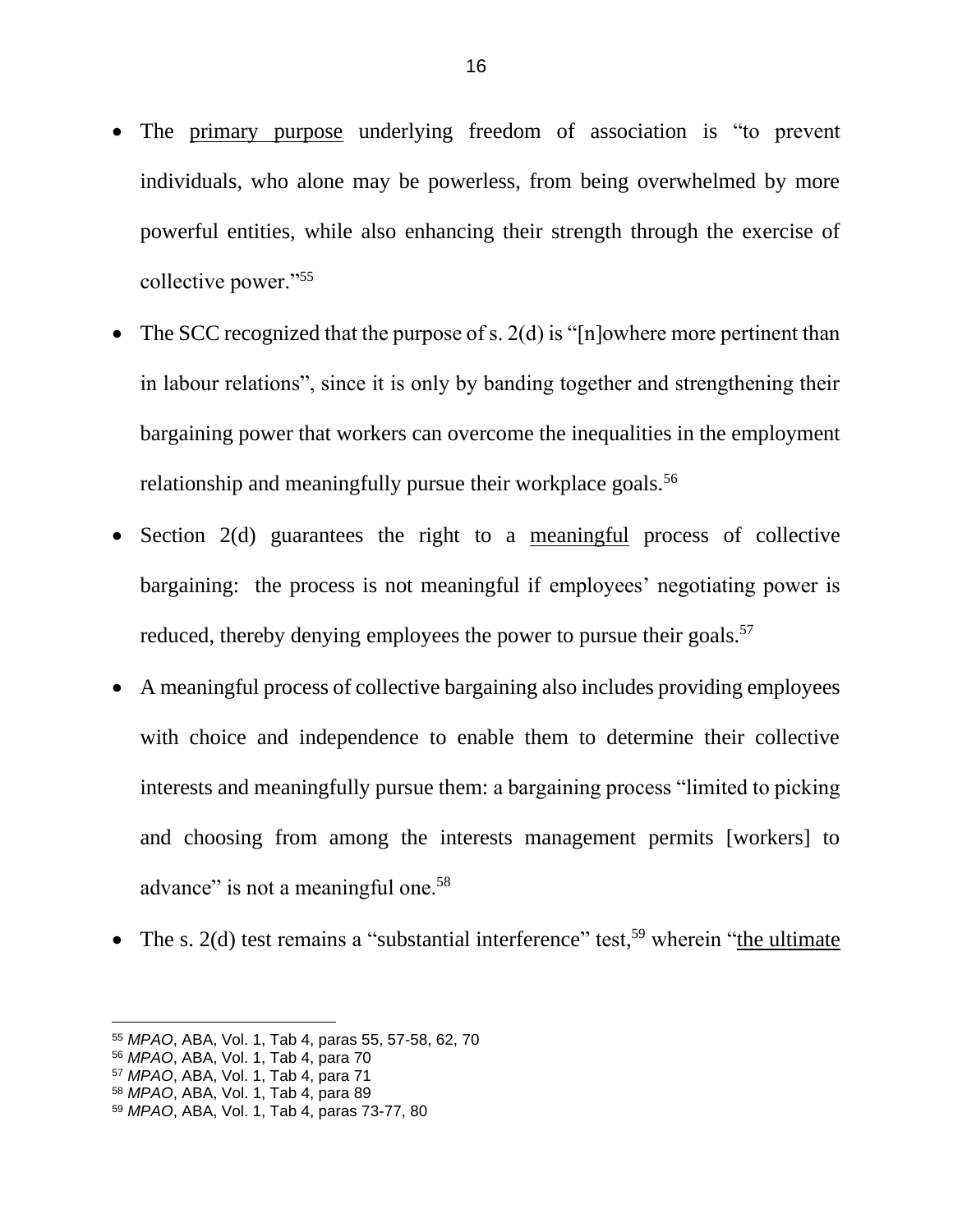- The primary purpose underlying freedom of association is "to prevent individuals, who alone may be powerless, from being overwhelmed by more powerful entities, while also enhancing their strength through the exercise of collective power."<sup>55</sup>
- The SCC recognized that the purpose of s.  $2(d)$  is "[n]owhere more pertinent than in labour relations", since it is only by banding together and strengthening their bargaining power that workers can overcome the inequalities in the employment relationship and meaningfully pursue their workplace goals.<sup>56</sup>
- Section 2(d) guarantees the right to a meaningful process of collective bargaining: the process is not meaningful if employees' negotiating power is reduced, thereby denying employees the power to pursue their goals.<sup>57</sup>
- A meaningful process of collective bargaining also includes providing employees with choice and independence to enable them to determine their collective interests and meaningfully pursue them: a bargaining process "limited to picking and choosing from among the interests management permits [workers] to advance" is not a meaningful one.<sup>58</sup>
- The s. 2(d) test remains a "substantial interference" test,<sup>59</sup> wherein "the ultimate

<sup>55</sup> *MPAO*, ABA, Vol. 1, Tab 4, paras 55, 57-58, 62, 70

<sup>56</sup> *MPAO*, ABA, Vol. 1, Tab 4, para 70

<sup>57</sup> *MPAO*, ABA, Vol. 1, Tab 4, para 71

<sup>58</sup> *MPAO*, ABA, Vol. 1, Tab 4, para 89

<sup>59</sup> *MPAO*, ABA, Vol. 1, Tab 4, paras 73-77, 80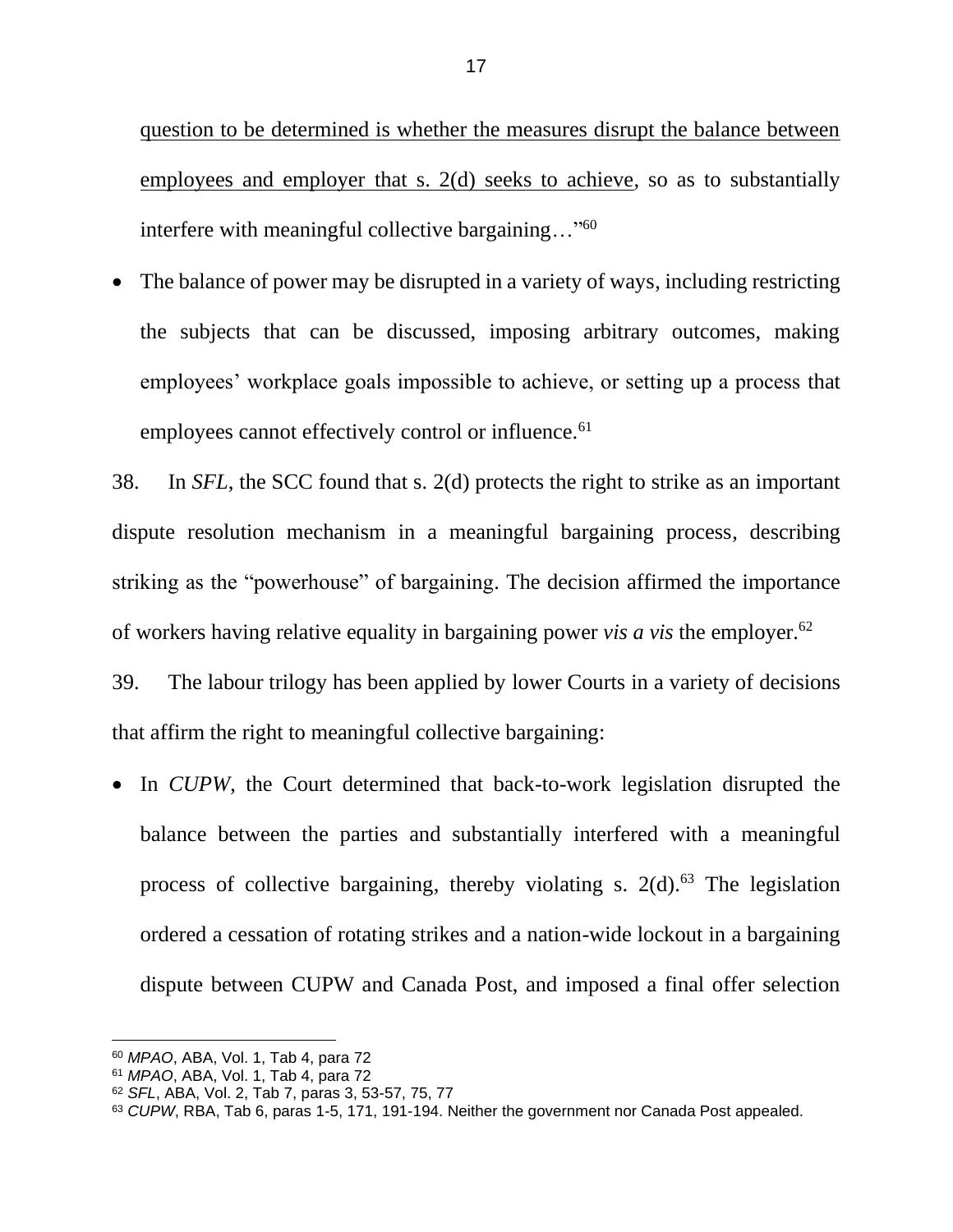question to be determined is whether the measures disrupt the balance between employees and employer that s. 2(d) seeks to achieve, so as to substantially interfere with meaningful collective bargaining..."<sup>60</sup>

• The balance of power may be disrupted in a variety of ways, including restricting the subjects that can be discussed, imposing arbitrary outcomes, making employees' workplace goals impossible to achieve, or setting up a process that employees cannot effectively control or influence.<sup>61</sup>

38. In *SFL*, the SCC found that s. 2(d) protects the right to strike as an important dispute resolution mechanism in a meaningful bargaining process, describing striking as the "powerhouse" of bargaining. The decision affirmed the importance of workers having relative equality in bargaining power *vis a vis* the employer.<sup>62</sup>

39. The labour trilogy has been applied by lower Courts in a variety of decisions that affirm the right to meaningful collective bargaining:

• In *CUPW*, the Court determined that back-to-work legislation disrupted the balance between the parties and substantially interfered with a meaningful process of collective bargaining, thereby violating s.  $2(d)$ .<sup>63</sup> The legislation ordered a cessation of rotating strikes and a nation-wide lockout in a bargaining dispute between CUPW and Canada Post, and imposed a final offer selection

<sup>60</sup> *MPAO*, ABA, Vol. 1, Tab 4, para 72

<sup>61</sup> *MPAO*, ABA, Vol. 1, Tab 4, para 72

<sup>62</sup> *SFL*, ABA, Vol. 2, Tab 7, paras 3, 53-57, 75, 77

<sup>63</sup> *CUPW*, RBA, Tab 6, paras 1-5, 171, 191-194. Neither the government nor Canada Post appealed.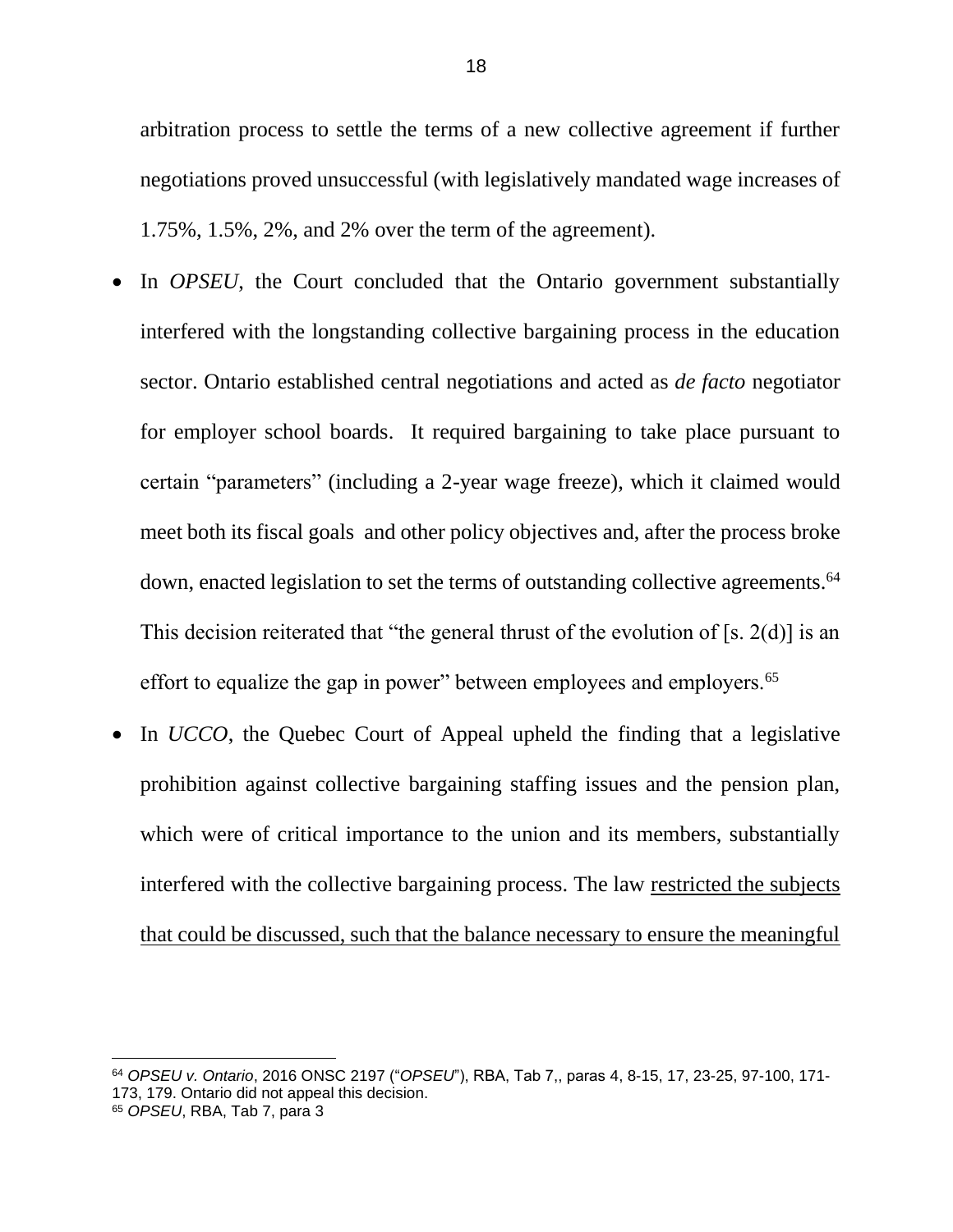arbitration process to settle the terms of a new collective agreement if further negotiations proved unsuccessful (with legislatively mandated wage increases of 1.75%, 1.5%, 2%, and 2% over the term of the agreement).

- In *OPSEU*, the Court concluded that the Ontario government substantially interfered with the longstanding collective bargaining process in the education sector. Ontario established central negotiations and acted as *de facto* negotiator for employer school boards. It required bargaining to take place pursuant to certain "parameters" (including a 2-year wage freeze), which it claimed would meet both its fiscal goals and other policy objectives and, after the process broke down, enacted legislation to set the terms of outstanding collective agreements.<sup>64</sup> This decision reiterated that "the general thrust of the evolution of [s. 2(d)] is an effort to equalize the gap in power" between employees and employers.<sup>65</sup>
- In *UCCO*, the Quebec Court of Appeal upheld the finding that a legislative prohibition against collective bargaining staffing issues and the pension plan, which were of critical importance to the union and its members, substantially interfered with the collective bargaining process. The law restricted the subjects that could be discussed, such that the balance necessary to ensure the meaningful

<sup>64</sup> *OPSEU v. Ontario*, 2016 ONSC 2197 ("*OPSEU*"), RBA, Tab 7,, paras 4, 8-15, 17, 23-25, 97-100, 171- 173, 179. Ontario did not appeal this decision.

<sup>65</sup> *OPSEU*, RBA, Tab 7, para 3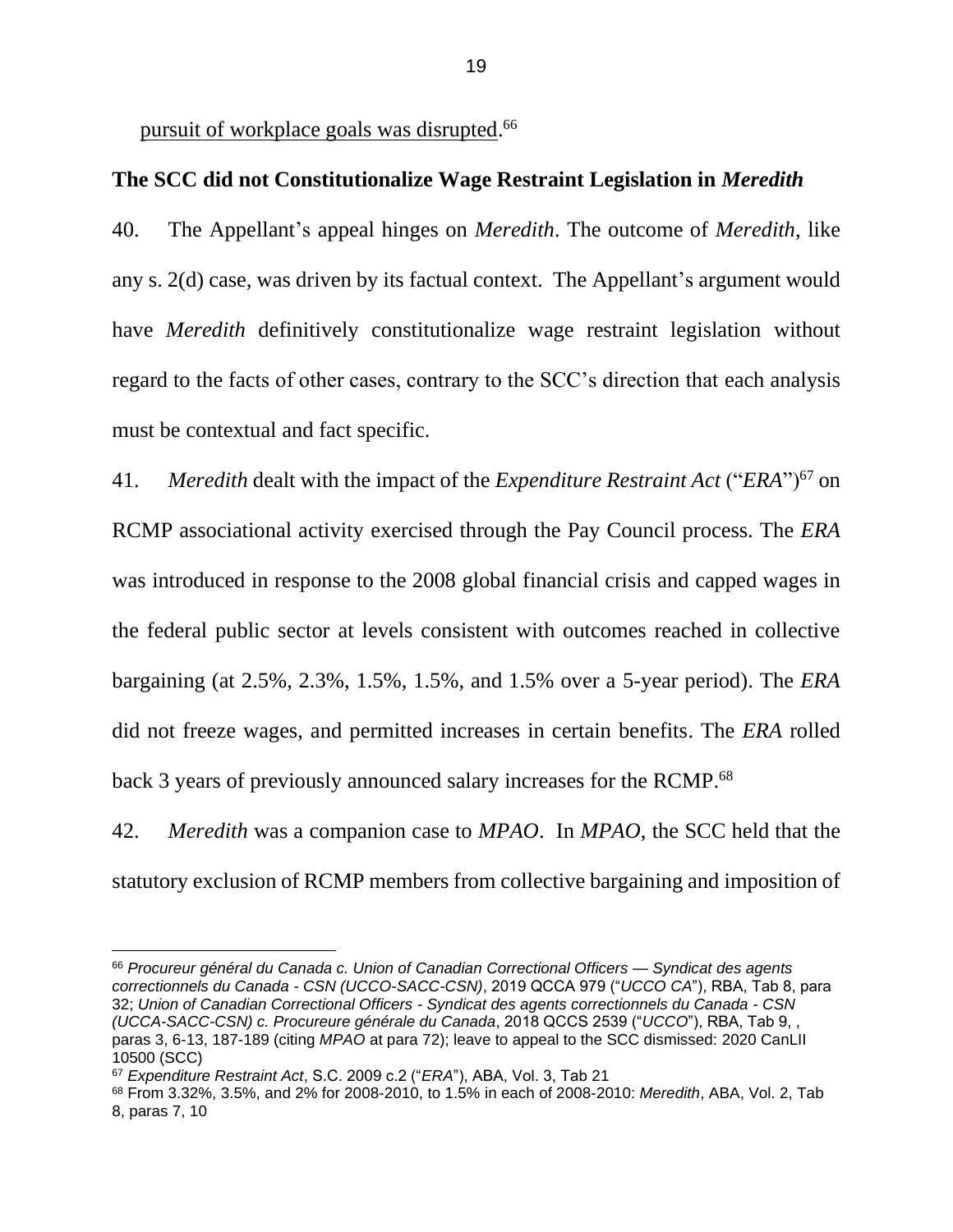pursuit of workplace goals was disrupted.<sup>66</sup>

### <span id="page-21-0"></span>**The SCC did not Constitutionalize Wage Restraint Legislation in** *Meredith*

40. The Appellant's appeal hinges on *Meredith*. The outcome of *Meredith*, like any s. 2(d) case, was driven by its factual context. The Appellant's argument would have *Meredith* definitively constitutionalize wage restraint legislation without regard to the facts of other cases, contrary to the SCC's direction that each analysis must be contextual and fact specific.

41. *Meredith* dealt with the impact of the *Expenditure Restraint Act* ("*ERA*")<sup>67</sup> on RCMP associational activity exercised through the Pay Council process. The *ERA* was introduced in response to the 2008 global financial crisis and capped wages in the federal public sector at levels consistent with outcomes reached in collective bargaining (at 2.5%, 2.3%, 1.5%, 1.5%, and 1.5% over a 5-year period). The *ERA* did not freeze wages, and permitted increases in certain benefits. The *ERA* rolled back 3 years of previously announced salary increases for the RCMP.<sup>68</sup>

42. *Meredith* was a companion case to *MPAO*. In *MPAO*, the SCC held that the statutory exclusion of RCMP members from collective bargaining and imposition of

<sup>66</sup> *Procureur général du Canada c. Union of Canadian Correctional Officers — Syndicat des agents correctionnels du Canada - CSN (UCCO-SACC-CSN)*, 2019 QCCA 979 ("*UCCO CA*"), RBA, Tab 8, para 32; *Union of Canadian Correctional Officers - Syndicat des agents correctionnels du Canada - CSN (UCCA-SACC-CSN) c. Procureure générale du Canada*, 2018 QCCS 2539 ("*UCCO*"), RBA, Tab 9, , paras 3, 6-13, 187-189 (citing *MPAO* at para 72); leave to appeal to the SCC dismissed: 2020 CanLII 10500 (SCC)

<sup>67</sup> *Expenditure Restraint Act*, S.C. 2009 c.2 ("*ERA*"), ABA, Vol. 3, Tab 21

<sup>68</sup> From 3.32%, 3.5%, and 2% for 2008-2010, to 1.5% in each of 2008-2010: *Meredith*, ABA, Vol. 2, Tab 8, paras 7, 10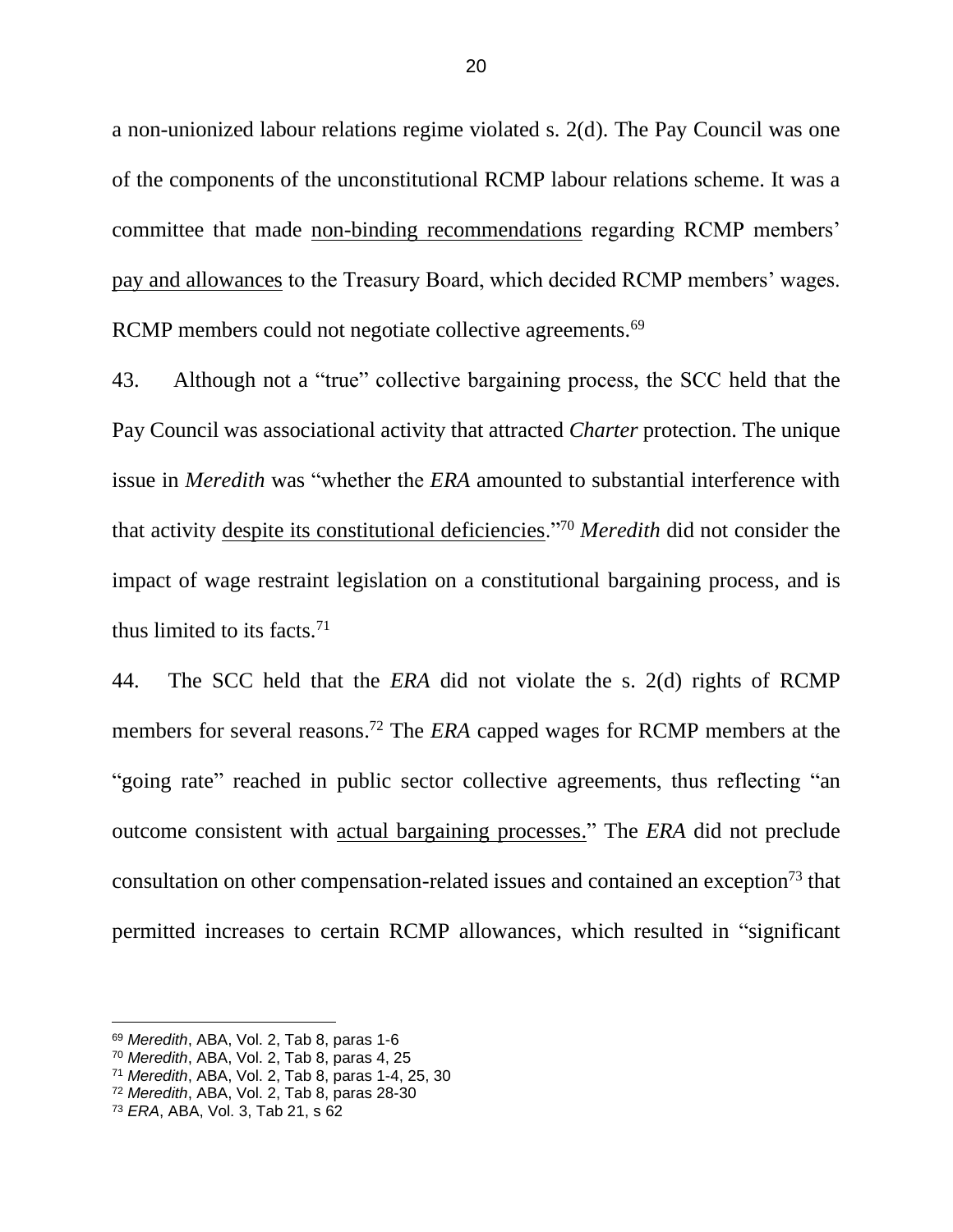a non-unionized labour relations regime violated s. 2(d). The Pay Council was one of the components of the unconstitutional RCMP labour relations scheme. It was a committee that made non-binding recommendations regarding RCMP members' pay and allowances to the Treasury Board, which decided RCMP members' wages. RCMP members could not negotiate collective agreements.<sup>69</sup>

43. Although not a "true" collective bargaining process, the SCC held that the Pay Council was associational activity that attracted *Charter* protection. The unique issue in *Meredith* was "whether the *ERA* amounted to substantial interference with that activity despite its constitutional deficiencies."<sup>70</sup> *Meredith* did not consider the impact of wage restraint legislation on a constitutional bargaining process, and is thus limited to its facts.<sup>71</sup>

44. The SCC held that the *ERA* did not violate the s. 2(d) rights of RCMP members for several reasons. <sup>72</sup> The *ERA* capped wages for RCMP members at the "going rate" reached in public sector collective agreements, thus reflecting "an outcome consistent with actual bargaining processes." The *ERA* did not preclude consultation on other compensation-related issues and contained an exception<sup>73</sup> that permitted increases to certain RCMP allowances, which resulted in "significant

<sup>69</sup> *Meredith*, ABA, Vol. 2, Tab 8, paras 1-6

<sup>70</sup> *Meredith*, ABA, Vol. 2, Tab 8, paras 4, 25

<sup>71</sup> *Meredith*, ABA, Vol. 2, Tab 8, paras 1-4, 25, 30

<sup>72</sup> *Meredith*, ABA, Vol. 2, Tab 8, paras 28-30

<sup>73</sup> *ERA*, ABA, Vol. 3, Tab 21, s 62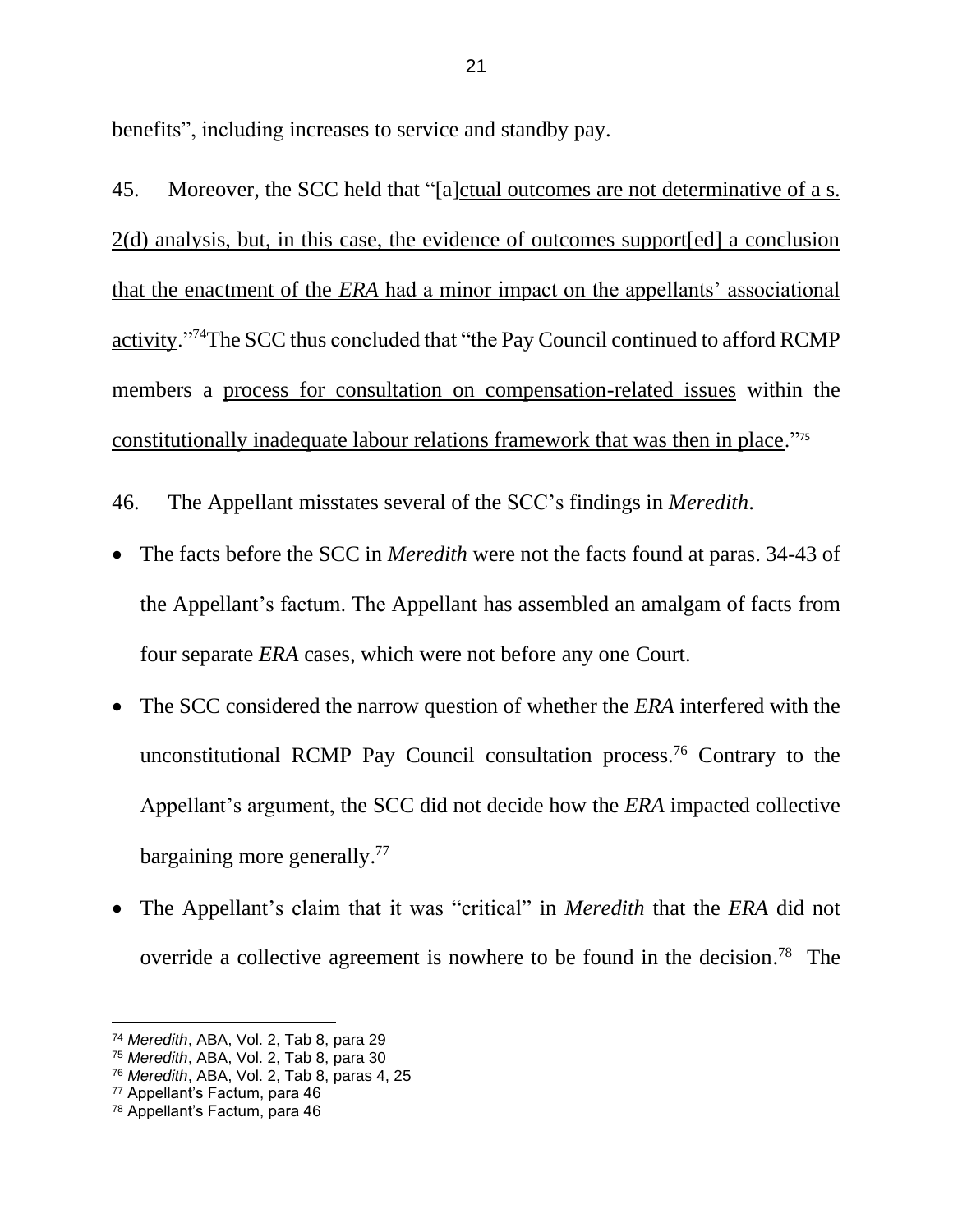benefits", including increases to service and standby pay.

45. Moreover, the SCC held that "[a]ctual outcomes are not determinative of a s. 2(d) analysis, but, in this case, the evidence of outcomes support[ed] a conclusion that the enactment of the *ERA* had a minor impact on the appellants' associational activity."<sup>74</sup>The SCC thus concluded that "the Pay Council continued to afford RCMP members a process for consultation on compensation-related issues within the constitutionally inadequate labour relations framework that was then in place."<sup>75</sup>

46. The Appellant misstates several of the SCC's findings in *Meredith*.

- The facts before the SCC in *Meredith* were not the facts found at paras. 34-43 of the Appellant's factum. The Appellant has assembled an amalgam of facts from four separate *ERA* cases, which were not before any one Court.
- The SCC considered the narrow question of whether the *ERA* interfered with the unconstitutional RCMP Pay Council consultation process.<sup>76</sup> Contrary to the Appellant's argument, the SCC did not decide how the *ERA* impacted collective bargaining more generally.<sup>77</sup>
- The Appellant's claim that it was "critical" in *Meredith* that the *ERA* did not override a collective agreement is nowhere to be found in the decision.<sup>78</sup> The

<sup>74</sup> *Meredith*, ABA, Vol. 2, Tab 8, para 29

<sup>75</sup> *Meredith*, ABA, Vol. 2, Tab 8, para 30

<sup>76</sup> *Meredith*, ABA, Vol. 2, Tab 8, paras 4, 25

<sup>77</sup> Appellant's Factum, para 46

<sup>78</sup> Appellant's Factum, para 46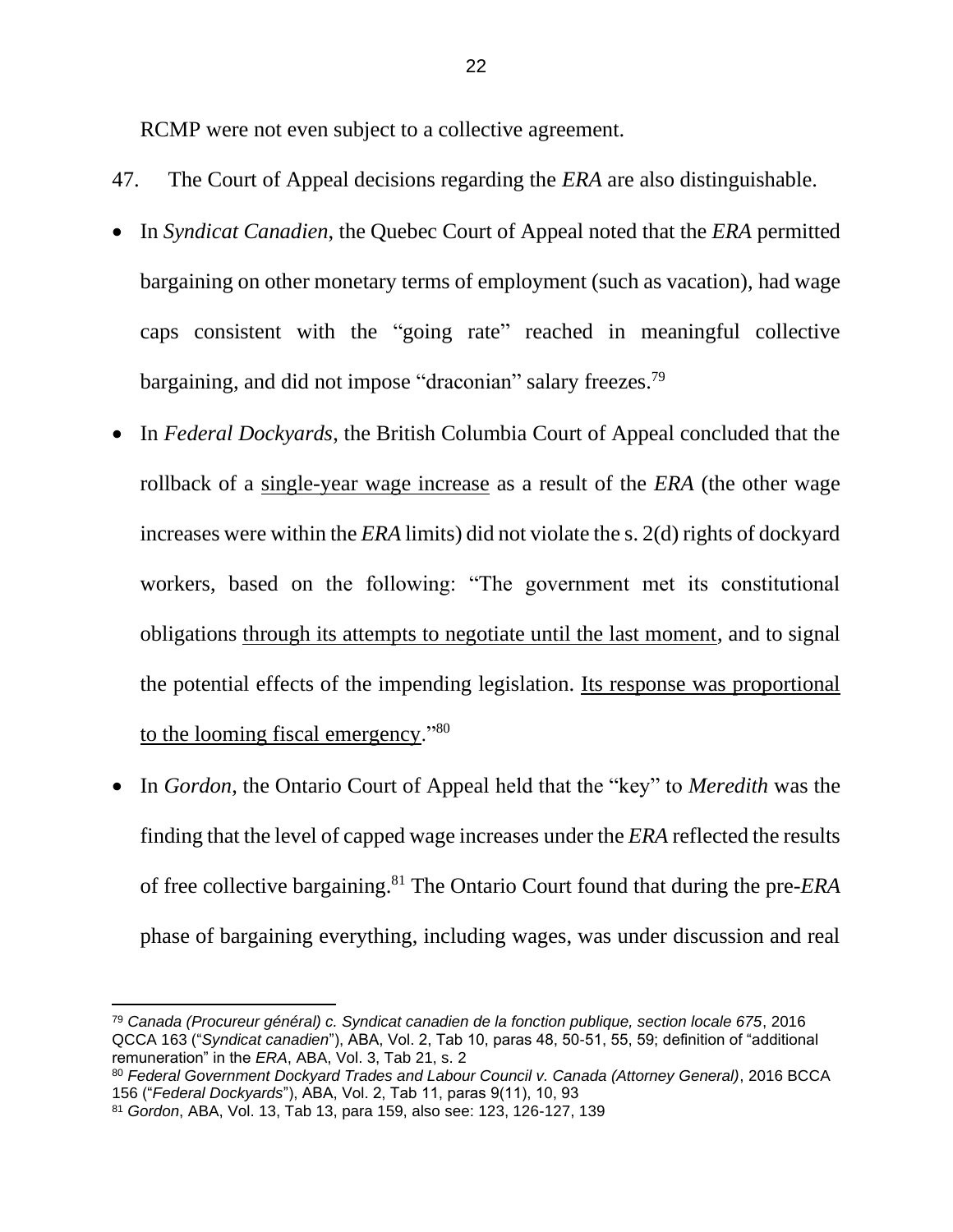RCMP were not even subject to a collective agreement.

- 47. The Court of Appeal decisions regarding the *ERA* are also distinguishable.
- In *Syndicat Canadien*, the Quebec Court of Appeal noted that the *ERA* permitted bargaining on other monetary terms of employment (such as vacation), had wage caps consistent with the "going rate" reached in meaningful collective bargaining, and did not impose "draconian" salary freezes.<sup>79</sup>
- In *Federal Dockyards*, the British Columbia Court of Appeal concluded that the rollback of a single-year wage increase as a result of the *ERA* (the other wage increases were within the *ERA* limits) did not violate the s. 2(d) rights of dockyard workers, based on the following: "The government met its constitutional obligations through its attempts to negotiate until the last moment, and to signal the potential effects of the impending legislation. Its response was proportional to the looming fiscal emergency."<sup>80</sup>
- In *Gordon*, the Ontario Court of Appeal held that the "key" to *Meredith* was the finding that the level of capped wage increases under the *ERA* reflected the results of free collective bargaining.<sup>81</sup> The Ontario Court found that during the pre-*ERA* phase of bargaining everything, including wages, was under discussion and real

<sup>79</sup> *Canada (Procureur général) c. Syndicat canadien de la fonction publique, section locale 675*, 2016 QCCA 163 ("*Syndicat canadien*"), ABA, Vol. 2, Tab 10, paras 48, 50-51, 55, 59; definition of "additional remuneration" in the *ERA*, ABA, Vol. 3, Tab 21, s. 2

<sup>80</sup> *Federal Government Dockyard Trades and Labour Council v. Canada (Attorney General)*, 2016 BCCA 156 ("*Federal Dockyards*"), ABA, Vol. 2, Tab 11, paras 9(11), 10, 93

<sup>81</sup> *Gordon*, ABA, Vol. 13, Tab 13, para 159, also see: 123, 126-127, 139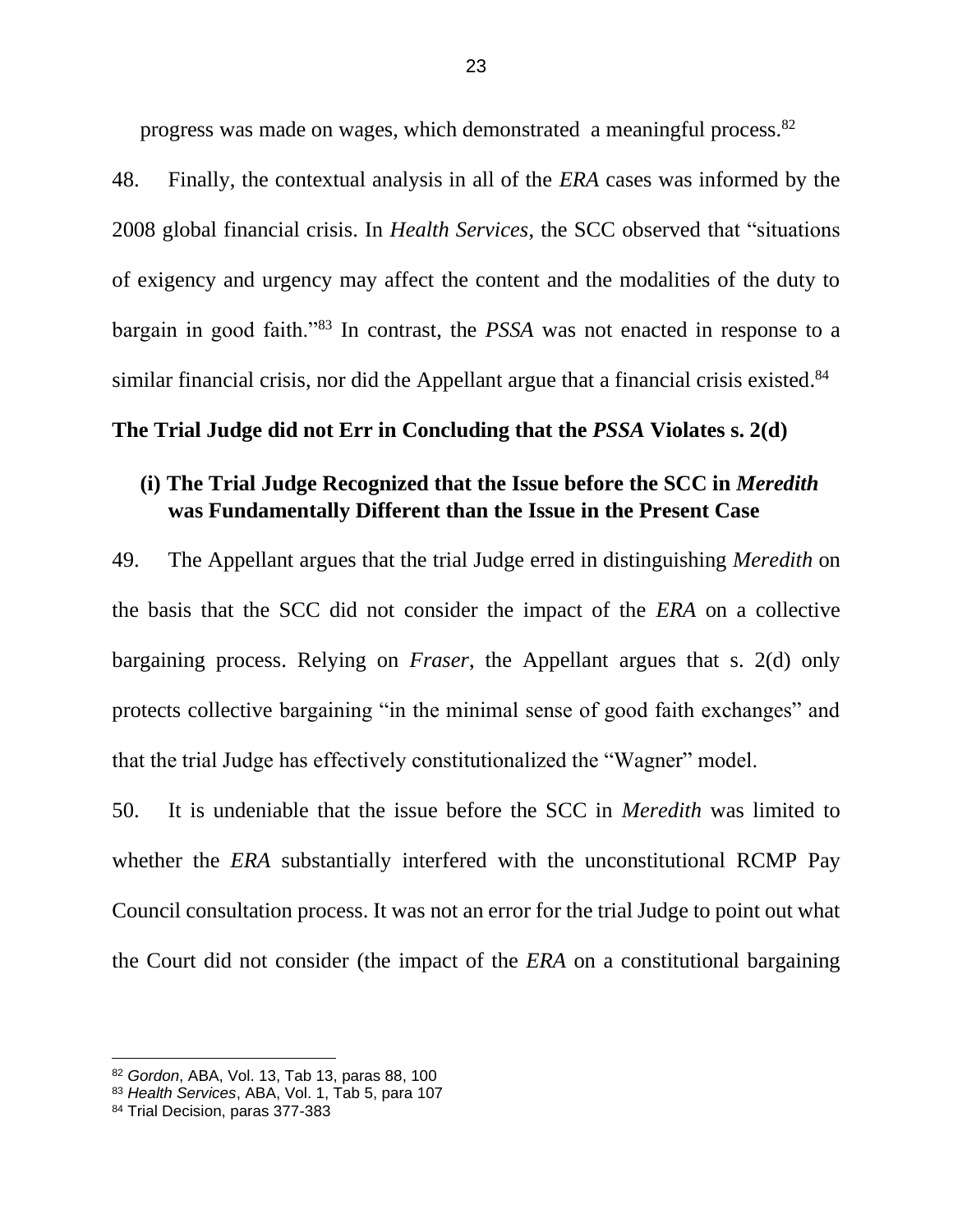progress was made on wages, which demonstrated a meaningful process.<sup>82</sup>

48. Finally, the contextual analysis in all of the *ERA* cases was informed by the 2008 global financial crisis. In *Health Services*, the SCC observed that "situations of exigency and urgency may affect the content and the modalities of the duty to bargain in good faith."<sup>83</sup> In contrast, the *PSSA* was not enacted in response to a similar financial crisis, nor did the Appellant argue that a financial crisis existed.<sup>84</sup>

## <span id="page-25-0"></span>**The Trial Judge did not Err in Concluding that the** *PSSA* **Violates s. 2(d)**

## <span id="page-25-1"></span>**(i) The Trial Judge Recognized that the Issue before the SCC in** *Meredith*  **was Fundamentally Different than the Issue in the Present Case**

49. The Appellant argues that the trial Judge erred in distinguishing *Meredith* on the basis that the SCC did not consider the impact of the *ERA* on a collective bargaining process. Relying on *Fraser*, the Appellant argues that s. 2(d) only protects collective bargaining "in the minimal sense of good faith exchanges" and that the trial Judge has effectively constitutionalized the "Wagner" model.

50. It is undeniable that the issue before the SCC in *Meredith* was limited to whether the *ERA* substantially interfered with the unconstitutional RCMP Pay Council consultation process. It was not an error for the trial Judge to point out what the Court did not consider (the impact of the *ERA* on a constitutional bargaining

<sup>82</sup> *Gordon*, ABA, Vol. 13, Tab 13, paras 88, 100

<sup>83</sup> *Health Services*, ABA, Vol. 1, Tab 5, para 107

<sup>84</sup> Trial Decision, paras 377-383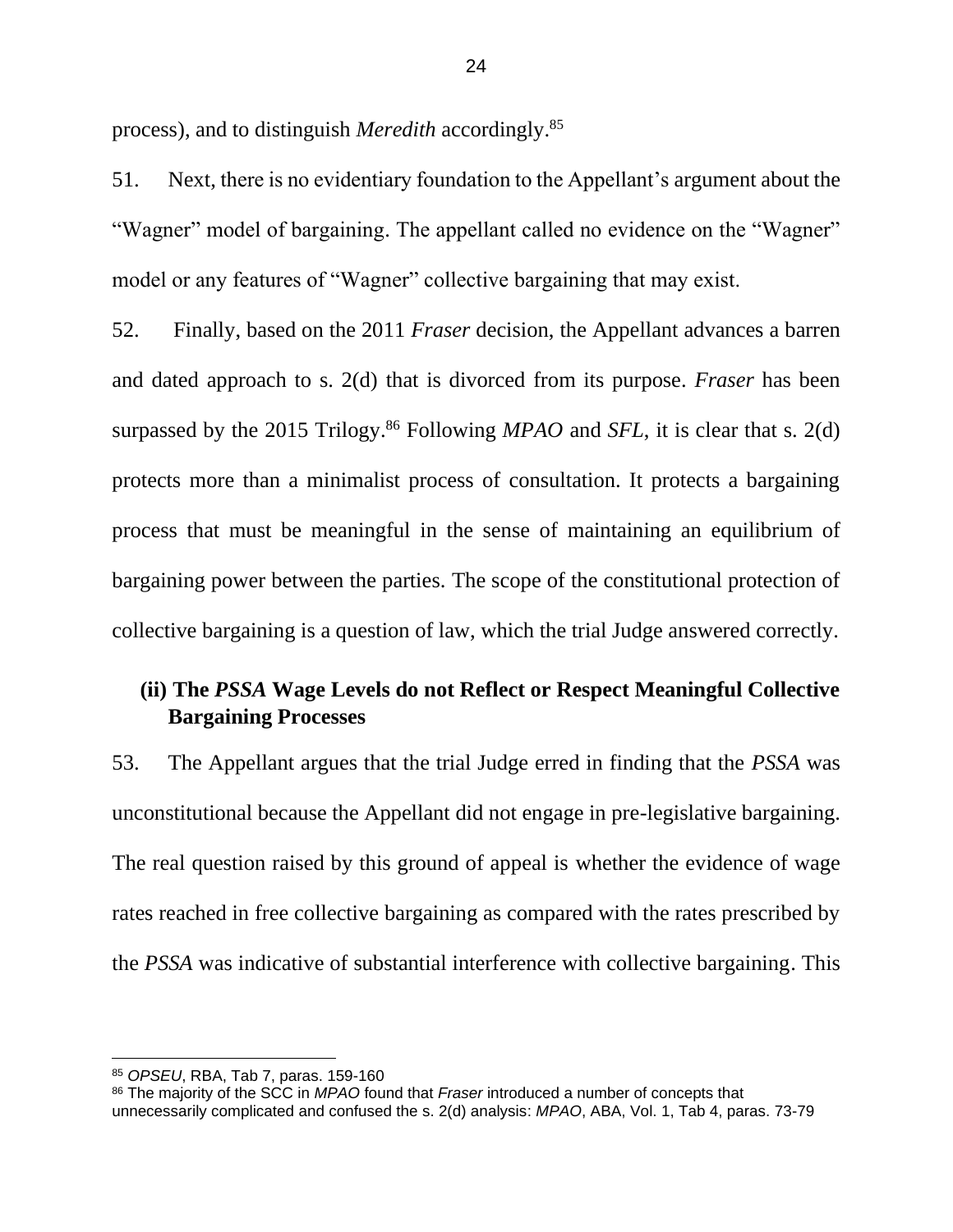process), and to distinguish *Meredith* accordingly.<sup>85</sup>

51. Next, there is no evidentiary foundation to the Appellant's argument about the "Wagner" model of bargaining. The appellant called no evidence on the "Wagner" model or any features of "Wagner" collective bargaining that may exist.

52. Finally, based on the 2011 *Fraser* decision, the Appellant advances a barren and dated approach to s. 2(d) that is divorced from its purpose. *Fraser* has been surpassed by the 2015 Trilogy.<sup>86</sup> Following *MPAO* and *SFL*, it is clear that s. 2(d) protects more than a minimalist process of consultation. It protects a bargaining process that must be meaningful in the sense of maintaining an equilibrium of bargaining power between the parties. The scope of the constitutional protection of collective bargaining is a question of law, which the trial Judge answered correctly.

# <span id="page-26-0"></span>**(ii) The** *PSSA* **Wage Levels do not Reflect or Respect Meaningful Collective Bargaining Processes**

53. The Appellant argues that the trial Judge erred in finding that the *PSSA* was unconstitutional because the Appellant did not engage in pre-legislative bargaining. The real question raised by this ground of appeal is whether the evidence of wage rates reached in free collective bargaining as compared with the rates prescribed by the *PSSA* was indicative of substantial interference with collective bargaining. This

<sup>85</sup> *OPSEU*, RBA, Tab 7, paras. 159-160

<sup>86</sup> The majority of the SCC in *MPAO* found that *Fraser* introduced a number of concepts that unnecessarily complicated and confused the s. 2(d) analysis: *MPAO*, ABA, Vol. 1, Tab 4, paras. 73-79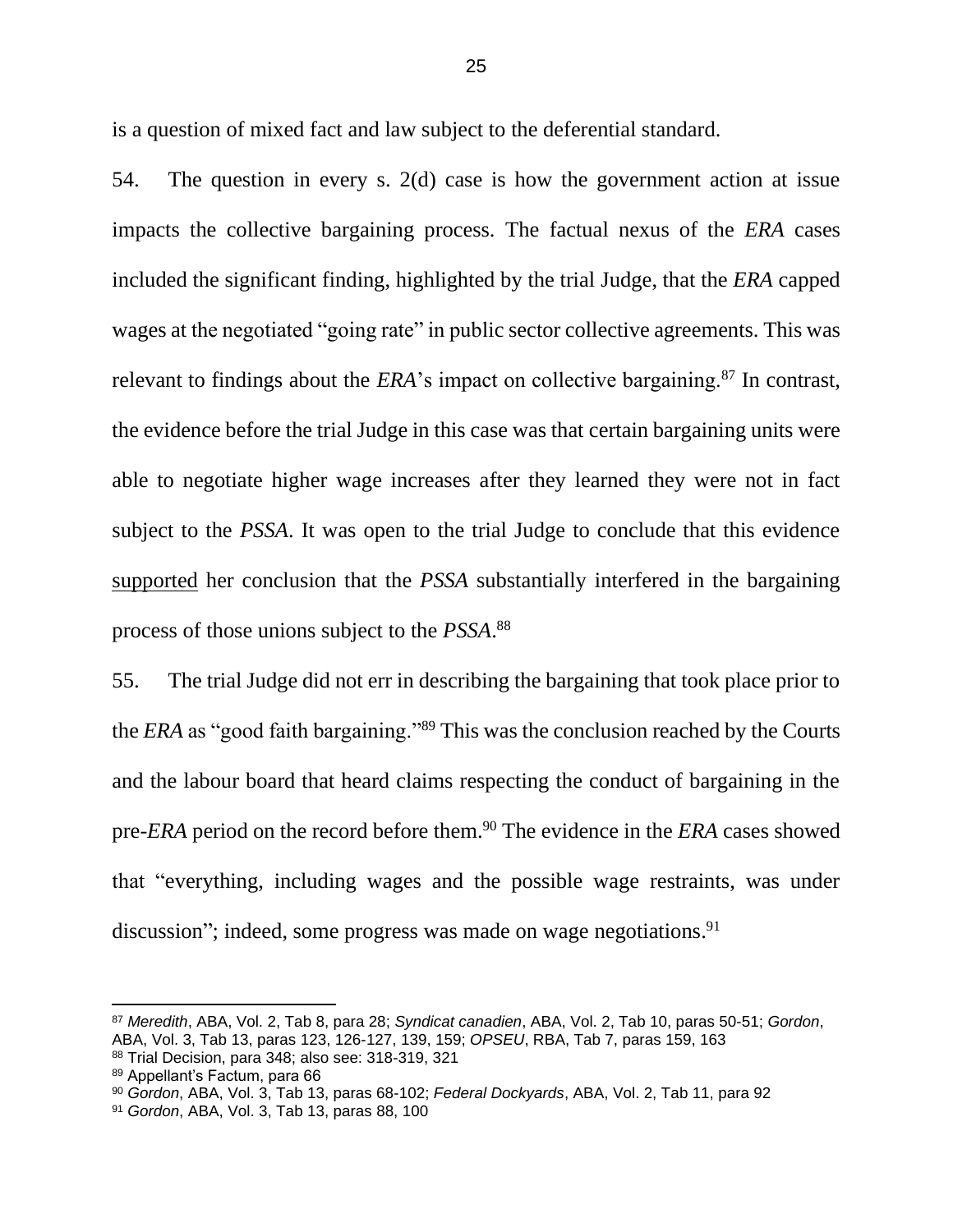is a question of mixed fact and law subject to the deferential standard.

54. The question in every s. 2(d) case is how the government action at issue impacts the collective bargaining process. The factual nexus of the *ERA* cases included the significant finding, highlighted by the trial Judge, that the *ERA* capped wages at the negotiated "going rate" in public sector collective agreements. This was relevant to findings about the *ERA*'s impact on collective bargaining.<sup>87</sup> In contrast, the evidence before the trial Judge in this case was that certain bargaining units were able to negotiate higher wage increases after they learned they were not in fact subject to the *PSSA*. It was open to the trial Judge to conclude that this evidence supported her conclusion that the *PSSA* substantially interfered in the bargaining process of those unions subject to the *PSSA*. 88

55. The trial Judge did not err in describing the bargaining that took place prior to the *ERA* as "good faith bargaining."<sup>89</sup> This was the conclusion reached by the Courts and the labour board that heard claims respecting the conduct of bargaining in the pre-*ERA* period on the record before them. <sup>90</sup> The evidence in the *ERA* cases showed that "everything, including wages and the possible wage restraints, was under discussion"; indeed, some progress was made on wage negotiations.<sup>91</sup>

<sup>87</sup> *Meredith*, ABA, Vol. 2, Tab 8, para 28; *Syndicat canadien*, ABA, Vol. 2, Tab 10, paras 50-51; *Gordon*, ABA, Vol. 3, Tab 13, paras 123, 126-127, 139, 159; *OPSEU*, RBA, Tab 7, paras 159, 163 <sup>88</sup> Trial Decision, para 348; also see: 318-319, 321

<sup>89</sup> Appellant's Factum, para 66

<sup>90</sup> *Gordon*, ABA, Vol. 3, Tab 13, paras 68-102; *Federal Dockyards*, ABA, Vol. 2, Tab 11, para 92

<sup>91</sup> *Gordon*, ABA, Vol. 3, Tab 13, paras 88, 100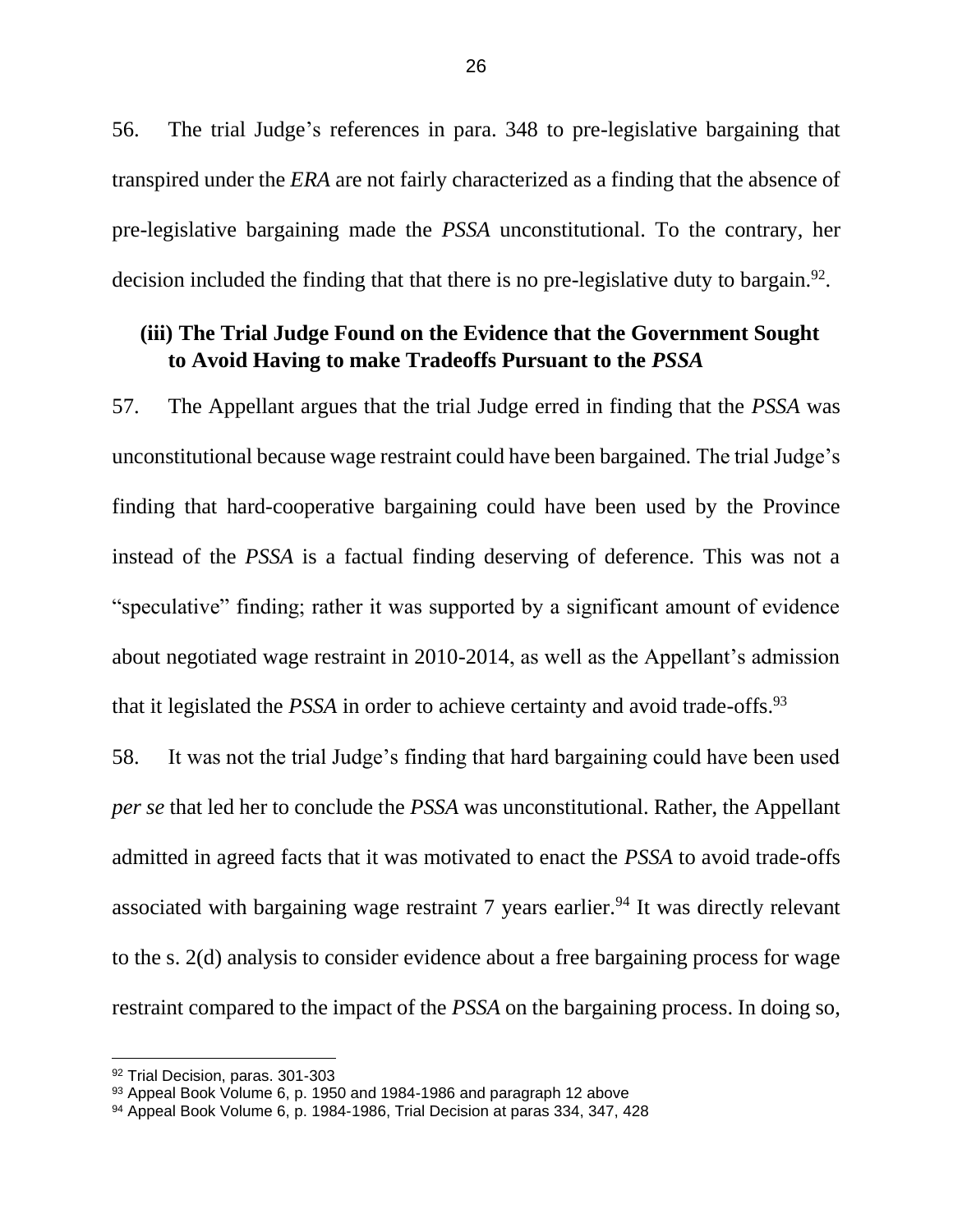56. The trial Judge's references in para. 348 to pre-legislative bargaining that transpired under the *ERA* are not fairly characterized as a finding that the absence of pre-legislative bargaining made the *PSSA* unconstitutional. To the contrary, her decision included the finding that that there is no pre-legislative duty to bargain.<sup>92</sup>.

# <span id="page-28-0"></span>**(iii) The Trial Judge Found on the Evidence that the Government Sought to Avoid Having to make Tradeoffs Pursuant to the** *PSSA*

57. The Appellant argues that the trial Judge erred in finding that the *PSSA* was unconstitutional because wage restraint could have been bargained. The trial Judge's finding that hard-cooperative bargaining could have been used by the Province instead of the *PSSA* is a factual finding deserving of deference. This was not a "speculative" finding; rather it was supported by a significant amount of evidence about negotiated wage restraint in 2010-2014, as well as the Appellant's admission that it legislated the *PSSA* in order to achieve certainty and avoid trade-offs.<sup>93</sup>

58. It was not the trial Judge's finding that hard bargaining could have been used *per se* that led her to conclude the *PSSA* was unconstitutional. Rather, the Appellant admitted in agreed facts that it was motivated to enact the *PSSA* to avoid trade-offs associated with bargaining wage restraint  $7$  years earlier.<sup>94</sup> It was directly relevant to the s. 2(d) analysis to consider evidence about a free bargaining process for wage restraint compared to the impact of the *PSSA* on the bargaining process. In doing so,

<sup>92</sup> Trial Decision, paras. 301-303

<sup>93</sup> Appeal Book Volume 6, p. 1950 and 1984-1986 and paragraph 12 above

<sup>94</sup> Appeal Book Volume 6, p. 1984-1986, Trial Decision at paras 334, 347, 428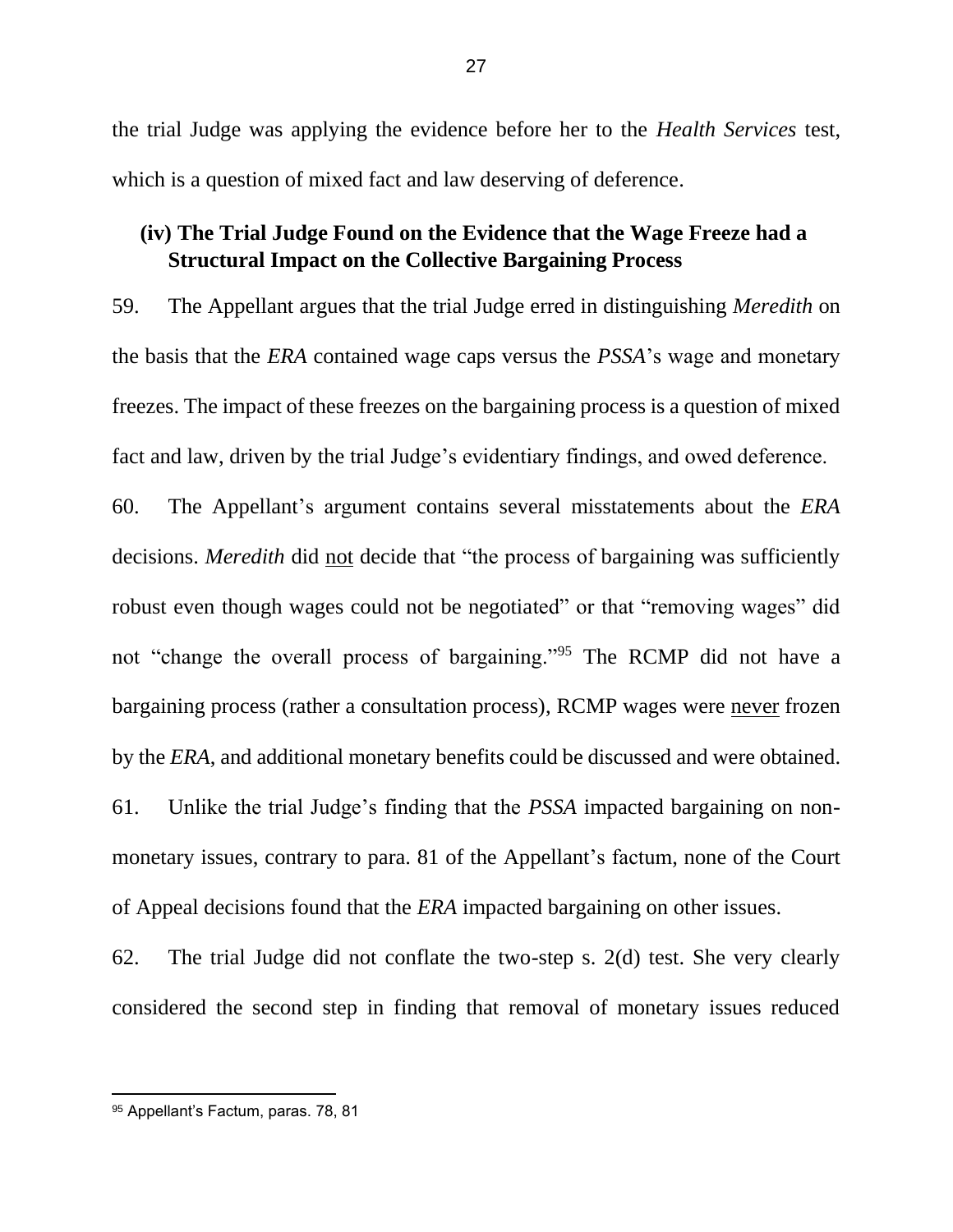the trial Judge was applying the evidence before her to the *Health Services* test, which is a question of mixed fact and law deserving of deference.

# <span id="page-29-0"></span>**(iv) The Trial Judge Found on the Evidence that the Wage Freeze had a Structural Impact on the Collective Bargaining Process**

59. The Appellant argues that the trial Judge erred in distinguishing *Meredith* on the basis that the *ERA* contained wage caps versus the *PSSA*'s wage and monetary freezes. The impact of these freezes on the bargaining process is a question of mixed fact and law, driven by the trial Judge's evidentiary findings, and owed deference.

60. The Appellant's argument contains several misstatements about the *ERA* decisions. *Meredith* did not decide that "the process of bargaining was sufficiently robust even though wages could not be negotiated" or that "removing wages" did not "change the overall process of bargaining."<sup>95</sup> The RCMP did not have a bargaining process (rather a consultation process), RCMP wages were never frozen by the *ERA*, and additional monetary benefits could be discussed and were obtained.

61. Unlike the trial Judge's finding that the *PSSA* impacted bargaining on nonmonetary issues, contrary to para. 81 of the Appellant's factum, none of the Court of Appeal decisions found that the *ERA* impacted bargaining on other issues.

62. The trial Judge did not conflate the two-step s. 2(d) test. She very clearly considered the second step in finding that removal of monetary issues reduced

<sup>95</sup> Appellant's Factum, paras. 78, 81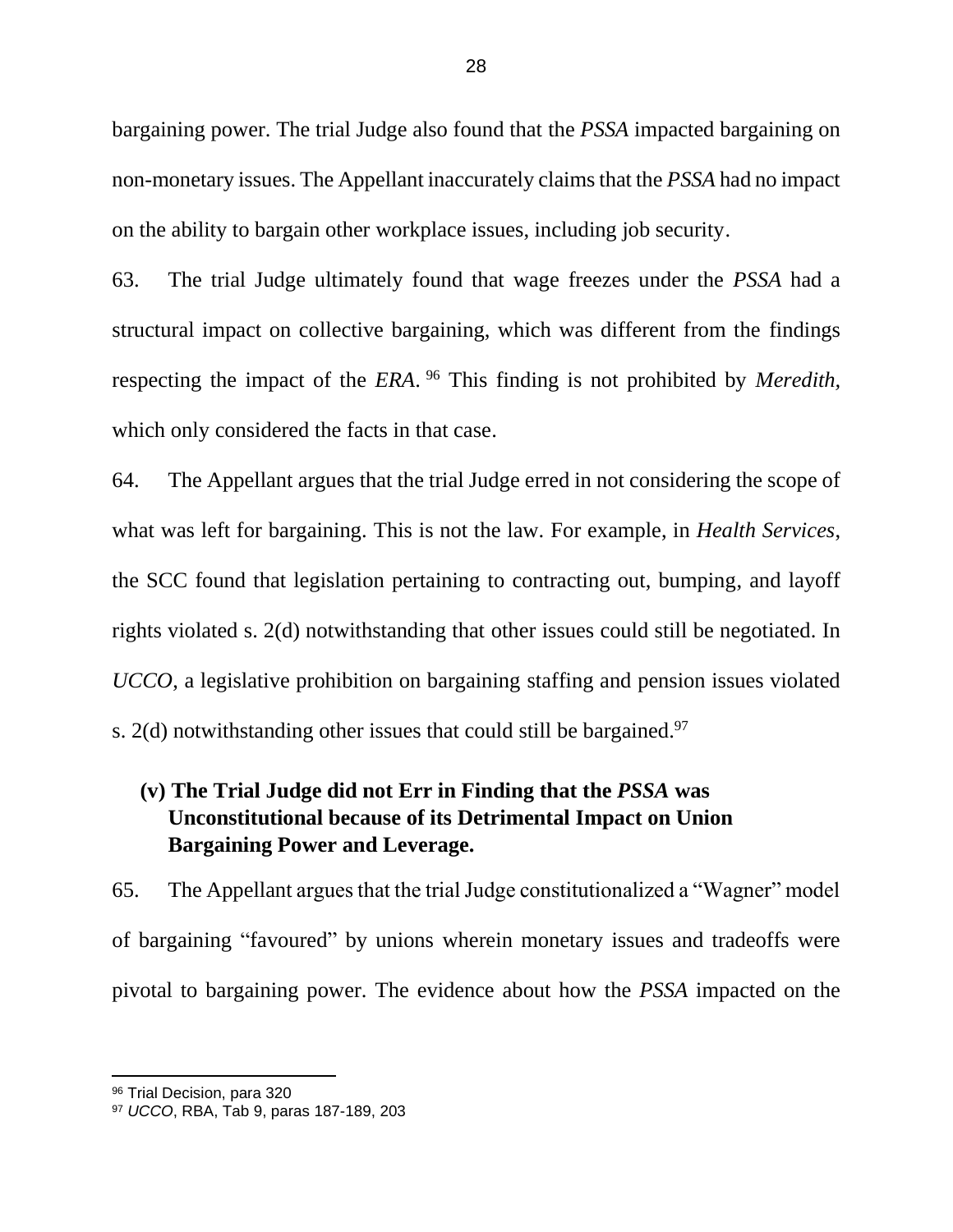bargaining power. The trial Judge also found that the *PSSA* impacted bargaining on non-monetary issues. The Appellant inaccurately claims that the *PSSA* had no impact on the ability to bargain other workplace issues, including job security.

63. The trial Judge ultimately found that wage freezes under the *PSSA* had a structural impact on collective bargaining, which was different from the findings respecting the impact of the *ERA*. <sup>96</sup> This finding is not prohibited by *Meredith,*  which only considered the facts in that case.

64. The Appellant argues that the trial Judge erred in not considering the scope of what was left for bargaining. This is not the law. For example, in *Health Services*, the SCC found that legislation pertaining to contracting out, bumping, and layoff rights violated s. 2(d) notwithstanding that other issues could still be negotiated. In *UCCO*, a legislative prohibition on bargaining staffing and pension issues violated s. 2(d) notwithstanding other issues that could still be bargained.<sup>97</sup>

# <span id="page-30-0"></span>**(v) The Trial Judge did not Err in Finding that the** *PSSA* **was Unconstitutional because of its Detrimental Impact on Union Bargaining Power and Leverage.**

65. The Appellant argues that the trial Judge constitutionalized a "Wagner" model of bargaining "favoured" by unions wherein monetary issues and tradeoffs were pivotal to bargaining power. The evidence about how the *PSSA* impacted on the

<sup>96</sup> Trial Decision, para 320

<sup>97</sup> *UCCO*, RBA, Tab 9, paras 187-189, 203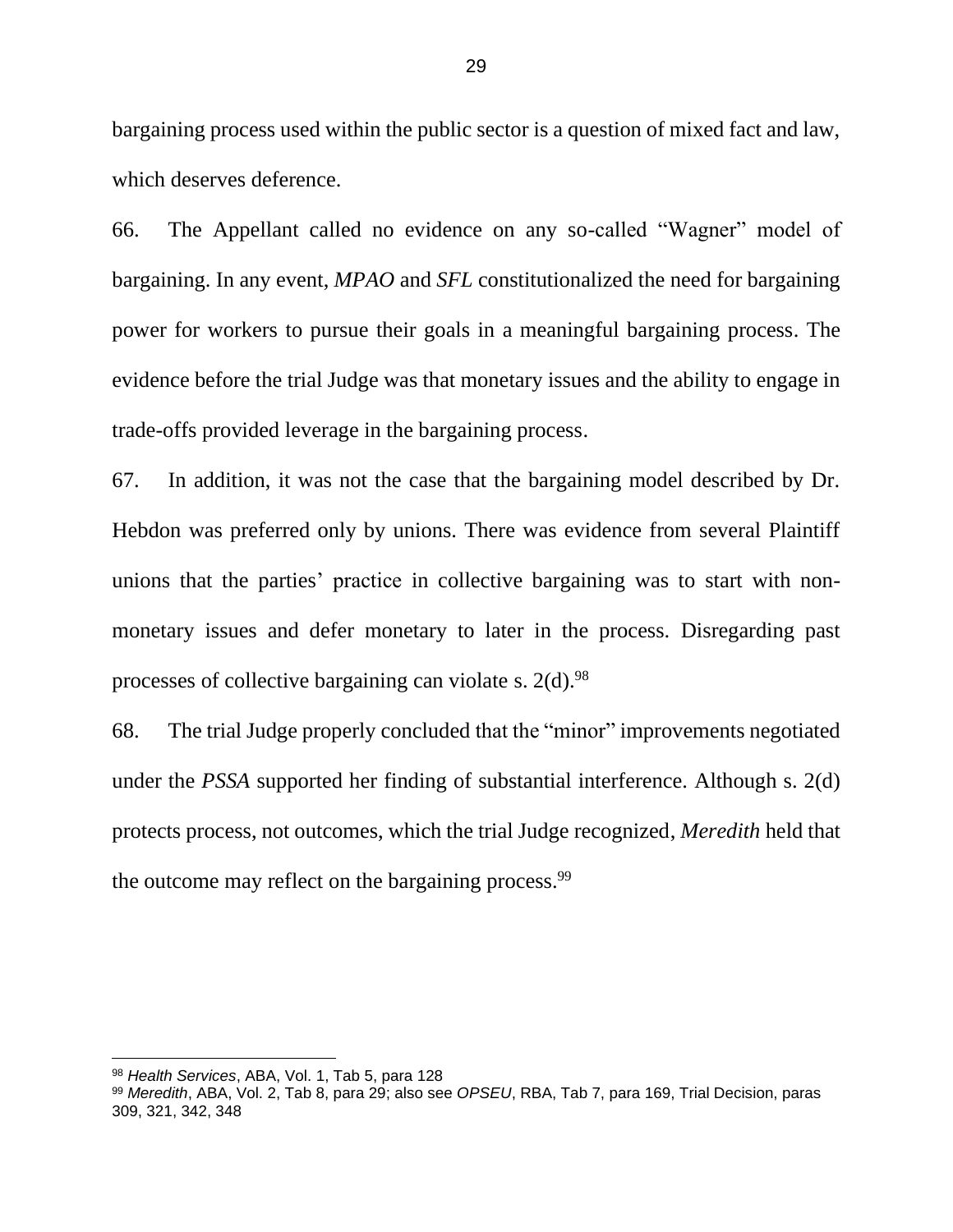bargaining process used within the public sector is a question of mixed fact and law, which deserves deference.

66. The Appellant called no evidence on any so-called "Wagner" model of bargaining. In any event, *MPAO* and *SFL* constitutionalized the need for bargaining power for workers to pursue their goals in a meaningful bargaining process. The evidence before the trial Judge was that monetary issues and the ability to engage in trade-offs provided leverage in the bargaining process.

67. In addition, it was not the case that the bargaining model described by Dr. Hebdon was preferred only by unions. There was evidence from several Plaintiff unions that the parties' practice in collective bargaining was to start with nonmonetary issues and defer monetary to later in the process. Disregarding past processes of collective bargaining can violate s. 2(d).<sup>98</sup>

68. The trial Judge properly concluded that the "minor" improvements negotiated under the *PSSA* supported her finding of substantial interference. Although s. 2(d) protects process, not outcomes, which the trial Judge recognized, *Meredith* held that the outcome may reflect on the bargaining process.<sup>99</sup>

<sup>98</sup> *Health Services*, ABA, Vol. 1, Tab 5, para 128

<sup>99</sup> *Meredith*, ABA, Vol. 2, Tab 8, para 29; also see *OPSEU*, RBA, Tab 7, para 169, Trial Decision, paras 309, 321, 342, 348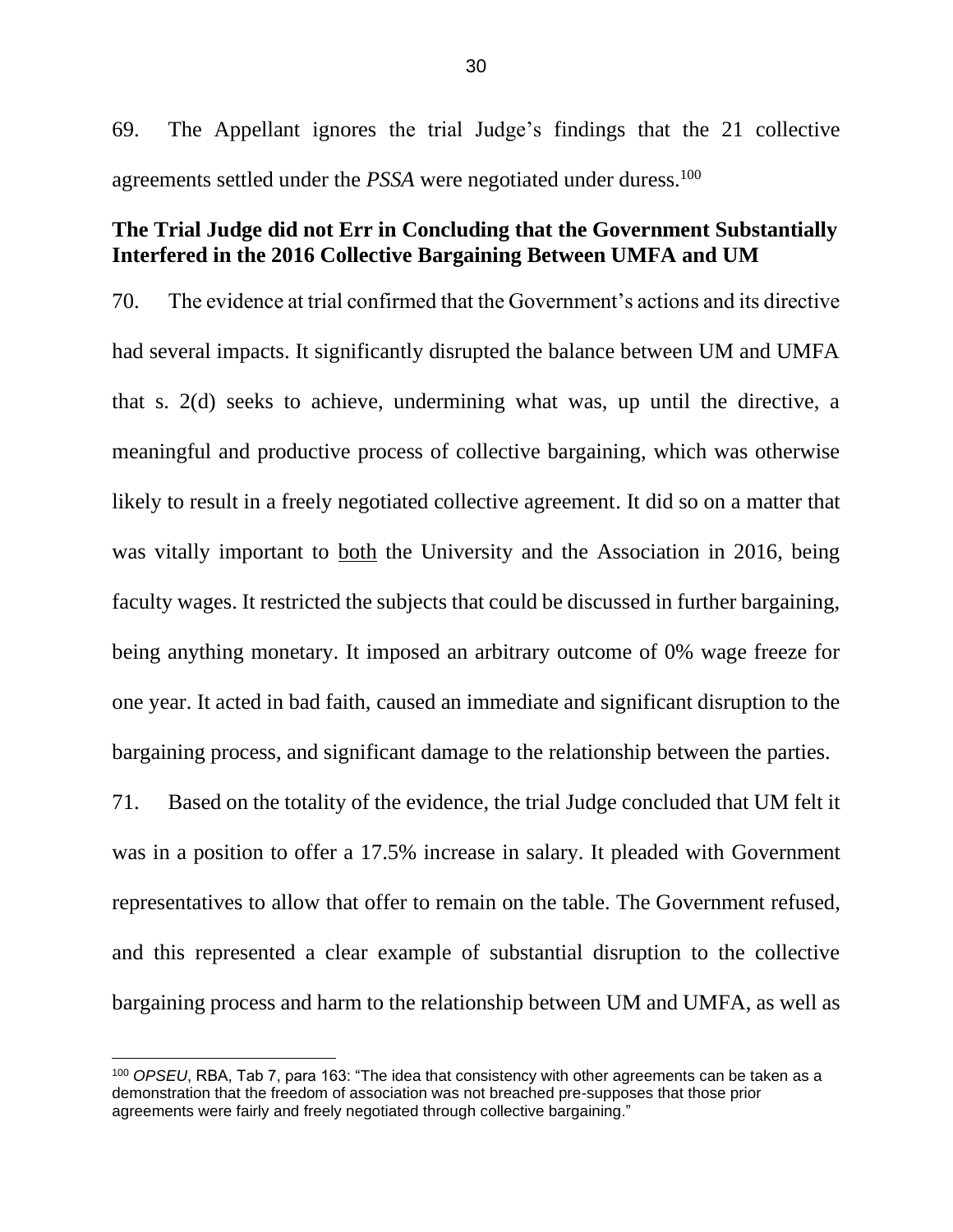69. The Appellant ignores the trial Judge's findings that the 21 collective agreements settled under the *PSSA* were negotiated under duress.<sup>100</sup>

## <span id="page-32-0"></span>**The Trial Judge did not Err in Concluding that the Government Substantially Interfered in the 2016 Collective Bargaining Between UMFA and UM**

70. The evidence at trial confirmed that the Government's actions and its directive had several impacts. It significantly disrupted the balance between UM and UMFA that s. 2(d) seeks to achieve, undermining what was, up until the directive, a meaningful and productive process of collective bargaining, which was otherwise likely to result in a freely negotiated collective agreement. It did so on a matter that was vitally important to both the University and the Association in 2016, being faculty wages. It restricted the subjects that could be discussed in further bargaining, being anything monetary. It imposed an arbitrary outcome of 0% wage freeze for one year. It acted in bad faith, caused an immediate and significant disruption to the bargaining process, and significant damage to the relationship between the parties.

71. Based on the totality of the evidence, the trial Judge concluded that UM felt it was in a position to offer a 17.5% increase in salary. It pleaded with Government representatives to allow that offer to remain on the table. The Government refused, and this represented a clear example of substantial disruption to the collective bargaining process and harm to the relationship between UM and UMFA, as well as

<sup>100</sup> *OPSEU*, RBA, Tab 7, para 163: "The idea that consistency with other agreements can be taken as a demonstration that the freedom of association was not breached pre-supposes that those prior agreements were fairly and freely negotiated through collective bargaining."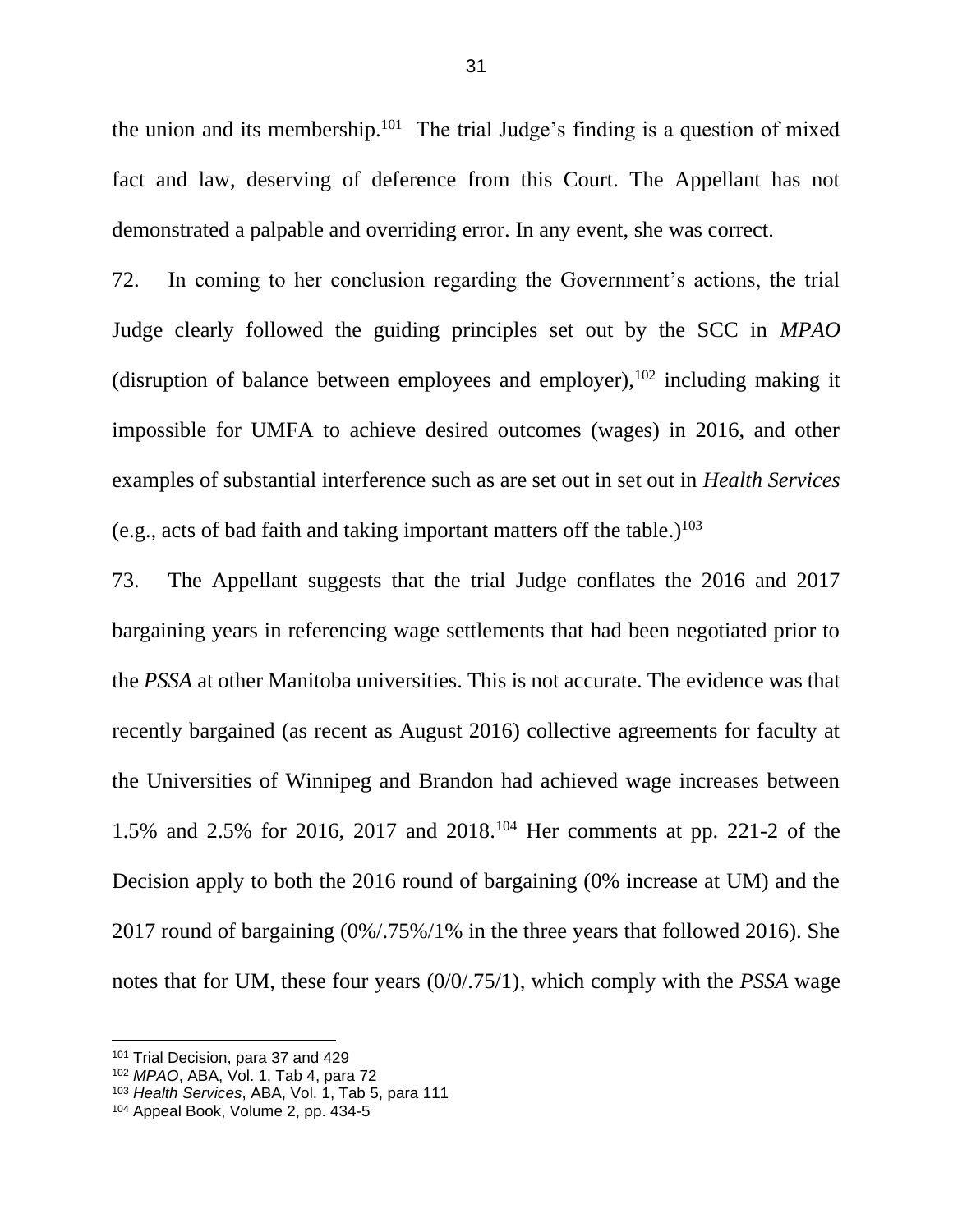the union and its membership. $101$  The trial Judge's finding is a question of mixed fact and law, deserving of deference from this Court. The Appellant has not demonstrated a palpable and overriding error. In any event, she was correct.

72. In coming to her conclusion regarding the Government's actions, the trial Judge clearly followed the guiding principles set out by the SCC in *MPAO* (disruption of balance between employees and employer),  $102$  including making it impossible for UMFA to achieve desired outcomes (wages) in 2016, and other examples of substantial interference such as are set out in set out in *Health Services* (e.g., acts of bad faith and taking important matters off the table.) $103$ 

73. The Appellant suggests that the trial Judge conflates the 2016 and 2017 bargaining years in referencing wage settlements that had been negotiated prior to the *PSSA* at other Manitoba universities. This is not accurate. The evidence was that recently bargained (as recent as August 2016) collective agreements for faculty at the Universities of Winnipeg and Brandon had achieved wage increases between 1.5% and 2.5% for 2016, 2017 and 2018.<sup>104</sup> Her comments at pp. 221-2 of the Decision apply to both the 2016 round of bargaining (0% increase at UM) and the 2017 round of bargaining (0%/.75%/1% in the three years that followed 2016). She notes that for UM, these four years (0/0/.75/1), which comply with the *PSSA* wage

<sup>101</sup> Trial Decision, para 37 and 429

<sup>102</sup> *MPAO*, ABA, Vol. 1, Tab 4, para 72

<sup>103</sup> *Health Services*, ABA, Vol. 1, Tab 5, para 111

<sup>104</sup> Appeal Book, Volume 2, pp. 434-5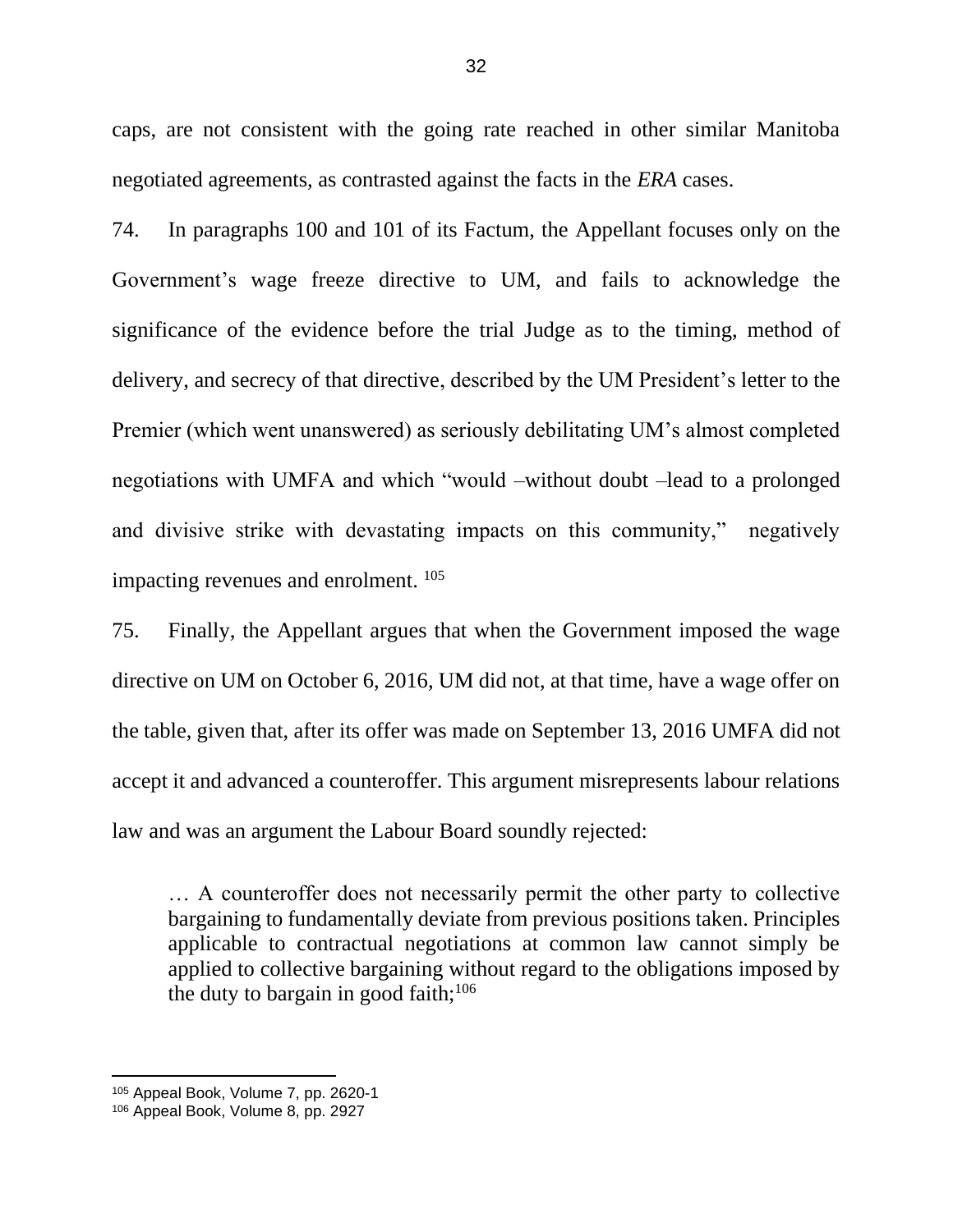caps, are not consistent with the going rate reached in other similar Manitoba negotiated agreements, as contrasted against the facts in the *ERA* cases.

74. In paragraphs 100 and 101 of its Factum, the Appellant focuses only on the Government's wage freeze directive to UM, and fails to acknowledge the significance of the evidence before the trial Judge as to the timing, method of delivery, and secrecy of that directive, described by the UM President's letter to the Premier (which went unanswered) as seriously debilitating UM's almost completed negotiations with UMFA and which "would –without doubt –lead to a prolonged and divisive strike with devastating impacts on this community," negatively impacting revenues and enrolment. <sup>105</sup>

75. Finally, the Appellant argues that when the Government imposed the wage directive on UM on October 6, 2016, UM did not, at that time, have a wage offer on the table, given that, after its offer was made on September 13, 2016 UMFA did not accept it and advanced a counteroffer. This argument misrepresents labour relations law and was an argument the Labour Board soundly rejected:

… A counteroffer does not necessarily permit the other party to collective bargaining to fundamentally deviate from previous positions taken. Principles applicable to contractual negotiations at common law cannot simply be applied to collective bargaining without regard to the obligations imposed by the duty to bargain in good faith; $106$ 

<sup>105</sup> Appeal Book, Volume 7, pp. 2620-1

<sup>106</sup> Appeal Book, Volume 8, pp. 2927